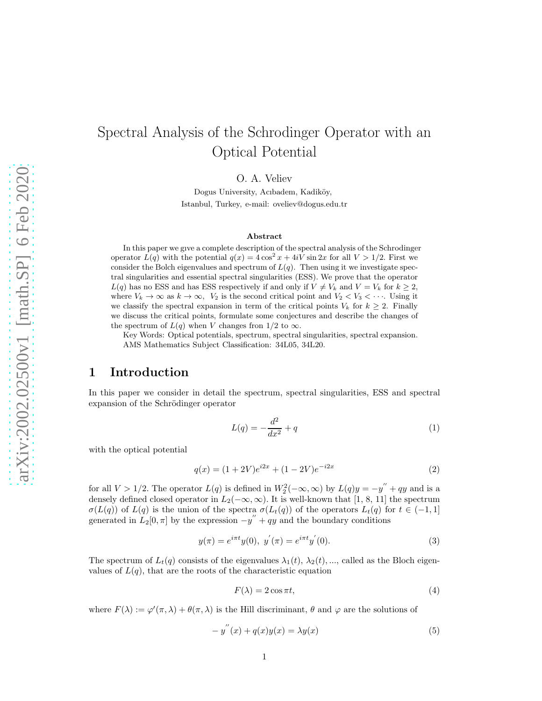# Spectral Analysis of the Schrodinger Operator with an Optical Potential

O. A. Veliev

Dogus University, Acıbadem, Kadiköy, Istanbul, Turkey, e-mail: oveliev@dogus.edu.tr

#### Abstract

In this paper we gıve a complete description of the spectral analysis of the Schrodinger operator  $L(q)$  with the potential  $q(x) = 4 \cos^2 x + 4iV \sin 2x$  for all  $V > 1/2$ . First we consider the Bolch eigenvalues and spectrum of  $L(q)$ . Then using it we investigate spectral singularities and essential spectral singularities (ESS). We prove that the operator  $L(q)$  has no ESS and has ESS respectively if and only if  $V \neq V_k$  and  $V = V_k$  for  $k \geq 2$ , where  $V_k \to \infty$  as  $k \to \infty$ ,  $V_2$  is the second critical point and  $V_2 < V_3 < \cdots$ . Using it we classify the spectral expansion in term of the critical points  $V_k$  for  $k \geq 2$ . Finally we discuss the critical points, formulate some conjectures and describe the changes of the spectrum of  $L(q)$  when V changes from 1/2 to  $\infty$ .

Key Words: Optical potentials, spectrum, spectral singularities, spectral expansion. AMS Mathematics Subject Classification: 34L05, 34L20.

# 1 Introduction

In this paper we consider in detail the spectrum, spectral singularities, ESS and spectral expansion of the Schrödinger operator

$$
L(q) = -\frac{d^2}{dx^2} + q
$$
 (1)

with the optical potential

$$
q(x) = (1 + 2V)e^{i2x} + (1 - 2V)e^{-i2x}
$$
\n(2)

for all  $V > 1/2$ . The operator  $L(q)$  is defined in  $W_2^2(-\infty, \infty)$  by  $L(q)y = -y'' + qy$  and is a densely defined closed operator in  $L_2(-\infty, \infty)$ . It is well-known that [1, 8, 11] the spectrum  $\sigma(L(q))$  of  $L(q)$  is the union of the spectra  $\sigma(L_t(q))$  of the operators  $L_t(q)$  for  $t \in (-1,1]$ generated in  $L_2[0, \pi]$  by the expression  $-y'' + qy$  and the boundary conditions

$$
y(\pi) = e^{i\pi t}y(0), \ y^{'}(\pi) = e^{i\pi t}y^{'}(0). \tag{3}
$$

The spectrum of  $L_t(q)$  consists of the eigenvalues  $\lambda_1(t), \lambda_2(t), \dots$ , called as the Bloch eigenvalues of  $L(q)$ , that are the roots of the characteristic equation

$$
F(\lambda) = 2\cos \pi t,\tag{4}
$$

where  $F(\lambda) := \varphi'(\pi, \lambda) + \theta(\pi, \lambda)$  is the Hill discriminant,  $\theta$  and  $\varphi$  are the solutions of

$$
-y''(x) + q(x)y(x) = \lambda y(x)
$$
\n(5)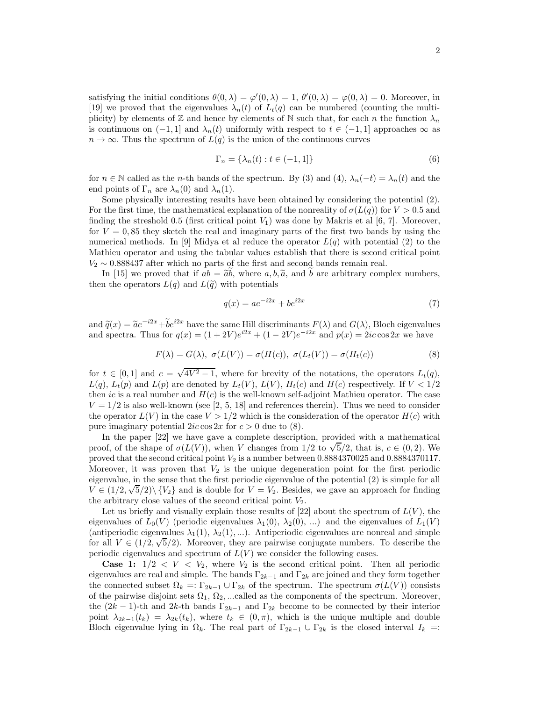satisfying the initial conditions  $\theta(0, \lambda) = \varphi'(0, \lambda) = 1$ ,  $\theta'(0, \lambda) = \varphi(0, \lambda) = 0$ . Moreover, in [19] we proved that the eigenvalues  $\lambda_n(t)$  of  $L_t(q)$  can be numbered (counting the multiplicity) by elements of  $\mathbb Z$  and hence by elements of  $\mathbb N$  such that, for each n the function  $\lambda_n$ is continuous on  $(-1, 1]$  and  $\lambda_n(t)$  uniformly with respect to  $t \in (-1, 1]$  approaches  $\infty$  as  $n \to \infty$ . Thus the spectrum of  $L(q)$  is the union of the continuous curves

$$
\Gamma_n = \{\lambda_n(t) : t \in (-1, 1]\}\tag{6}
$$

for  $n \in \mathbb{N}$  called as the *n*-th bands of the spectrum. By (3) and (4),  $\lambda_n(-t) = \lambda_n(t)$  and the end points of  $\Gamma_n$  are  $\lambda_n(0)$  and  $\lambda_n(1)$ .

Some physically interesting results have been obtained by considering the potential (2). For the first time, the mathematical explanation of the nonreality of  $\sigma(L(q))$  for  $V > 0.5$  and finding the streshold 0.5 (first critical point  $V_1$ ) was done by Makris et al [6, 7]. Moreover, for  $V = 0.85$  they sketch the real and imaginary parts of the first two bands by using the numerical methods. In [9] Midya et al reduce the operator  $L(q)$  with potential (2) to the Mathieu operator and using the tabular values establish that there is second critical point  $V_2 \sim 0.888437$  after which no parts of the first and second bands remain real.

In [15] we proved that if  $ab = \tilde{a}b$ , where  $a, b, \tilde{a}$ , and b are arbitrary complex numbers, then the operators  $L(q)$  and  $L(\tilde{q})$  with potentials

$$
q(x) = ae^{-i2x} + be^{i2x}
$$
\n<sup>(7)</sup>

and  $\tilde{q}(x) = \tilde{a}e^{-i2x} + \tilde{b}e^{i2x}$  have the same Hill discriminants  $F(\lambda)$  and  $G(\lambda)$ , Bloch eigenvalues and spectra. Thus for  $q(x) = (1 + 2V)e^{i2x} + (1 - 2V)e^{-i2x}$  and  $p(x) = 2ic \cos 2x$  we have

$$
F(\lambda) = G(\lambda), \ \sigma(L(V)) = \sigma(H(c)), \ \sigma(L_t(V)) = \sigma(H_t(c))
$$
\n(8)

for  $t \in [0,1]$  and  $c = \sqrt{4V^2 - 1}$ , where for brevity of the notations, the operators  $L_t(q)$ ,  $L(q)$ ,  $L_t(p)$  and  $L(p)$  are denoted by  $L_t(V)$ ,  $L(V)$ ,  $H_t(c)$  and  $H(c)$  respectively. If  $V < 1/2$ then ic is a real number and  $H(c)$  is the well-known self-adjoint Mathieu operator. The case  $V = 1/2$  is also well-known (see [2, 5, 18] and references therein). Thus we need to consider the operator  $L(V)$  in the case  $V > 1/2$  which is the consideration of the operator  $H(c)$  with pure imaginary potential  $2ic \cos 2x$  for  $c > 0$  due to (8).

In the paper [22] we have gave a complete description, provided with a mathematical proof, of the shape of  $\sigma(L(V))$ , when V changes from 1/2 to  $\sqrt{5}/2$ , that is,  $c \in (0, 2)$ . We proved that the second critical point  $V_2$  is a number between 0.8884370025 and 0.8884370117. Moreover, it was proven that  $V_2$  is the unique degeneration point for the first periodic eigenvalue, in the sense that the first periodic eigenvalue of the potential (2) is simple for all  $V \in (1/2, \sqrt{5}/2) \setminus \{V_2\}$  and is double for  $V = V_2$ . Besides, we gave an approach for finding the arbitrary close values of the second critical point  $V_2$ .

Let us briefly and visually explain those results of [22] about the spectrum of  $L(V)$ , the eigenvalues of  $L_0(V)$  (periodic eigenvalues  $\lambda_1(0), \lambda_2(0), ...$ ) and the eigenvalues of  $L_1(V)$ (antiperiodic eigenvalues  $\lambda_1(1), \lambda_2(1), \ldots$ ). Antiperiodic eigenvalues are nonreal and simple for all  $V \in (1/2, \sqrt{5}/2)$ . Moreover, they are pairwise conjugate numbers. To describe the periodic eigenvalues and spectrum of  $L(V)$  we consider the following cases.

**Case 1:**  $1/2 < V < V_2$ , where  $V_2$  is the second critical point. Then all periodic eigenvalues are real and simple. The bands  $\Gamma_{2k-1}$  and  $\Gamma_{2k}$  are joined and they form together the connected subset  $\Omega_k =: \Gamma_{2k-1} \cup \Gamma_{2k}$  of the spectrum. The spectrum  $\sigma(L(V))$  consists of the pairwise disjoint sets  $\Omega_1, \Omega_2, \dots$ called as the components of the spectrum. Moreover, the  $(2k-1)$ -th and  $2k$ -th bands  $\Gamma_{2k-1}$  and  $\Gamma_{2k}$  become to be connected by their interior point  $\lambda_{2k-1}(t_k) = \lambda_{2k}(t_k)$ , where  $t_k \in (0, \pi)$ , which is the unique multiple and double Bloch eigenvalue lying in  $\Omega_k$ . The real part of  $\Gamma_{2k-1} \cup \Gamma_{2k}$  is the closed interval  $I_k =$ :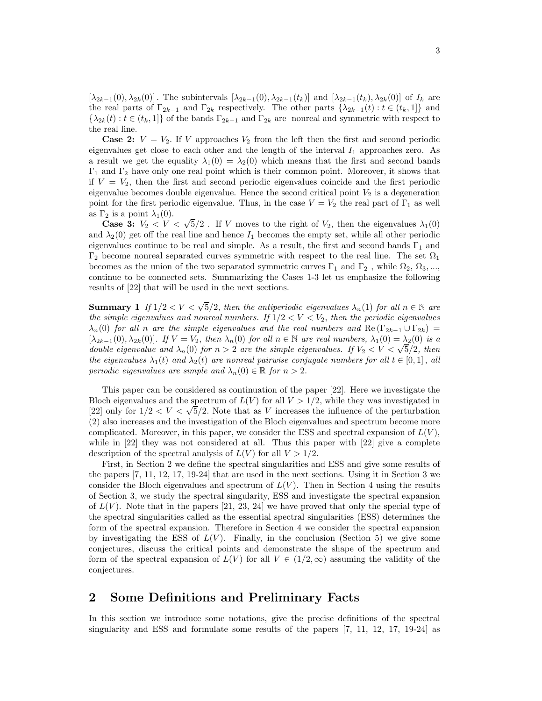$[\lambda_{2k-1}(0), \lambda_{2k}(0)]$ . The subintervals  $[\lambda_{2k-1}(0), \lambda_{2k-1}(t_k)]$  and  $[\lambda_{2k-1}(t_k), \lambda_{2k}(0)]$  of  $I_k$  are the real parts of  $\Gamma_{2k-1}$  and  $\Gamma_{2k}$  respectively. The other parts  $\{\lambda_{2k-1}(t): t \in (t_k, 1]\}$  and  $\{\lambda_{2k}(t): t \in (t_k,1]\}$  of the bands  $\Gamma_{2k-1}$  and  $\Gamma_{2k}$  are nonreal and symmetric with respect to the real line.

**Case 2:**  $V = V_2$ . If V approaches  $V_2$  from the left then the first and second periodic eigenvalues get close to each other and the length of the interval  $I_1$  approaches zero. As a result we get the equality  $\lambda_1(0) = \lambda_2(0)$  which means that the first and second bands  $\Gamma_1$  and  $\Gamma_2$  have only one real point which is their common point. Moreover, it shows that if  $V = V_2$ , then the first and second periodic eigenvalues coincide and the first periodic eigenvalue becomes double eigenvalue. Hence the second critical point  $V_2$  is a degeneration point for the first periodic eigenvalue. Thus, in the case  $V = V_2$  the real part of  $\Gamma_1$  as well as  $\Gamma_2$  is a point  $\lambda_1(0)$ .

**Case 3:**  $V_2 < V < \sqrt{5}/2$ . If V moves to the right of  $V_2$ , then the eigenvalues  $\lambda_1(0)$ and  $\lambda_2(0)$  get off the real line and hence  $I_1$  becomes the empty set, while all other periodic eigenvalues continue to be real and simple. As a result, the first and second bands  $\Gamma_1$  and  $\Gamma_2$  become nonreal separated curves symmetric with respect to the real line. The set  $\Omega_1$ becomes as the union of the two separated symmetric curves  $\Gamma_1$  and  $\Gamma_2$ , while  $\Omega_2$ ,  $\Omega_3$ ,..., continue to be connected sets. Summarizing the Cases 1-3 let us emphasize the following results of [22] that will be used in the next sections.

**Summary 1** If  $1/2 < V < \sqrt{5}/2$ , then the antiperiodic eigenvalues  $\lambda_n(1)$  for all  $n \in \mathbb{N}$  are the simple eigenvalues and nonreal numbers. If  $1/2 < V < V_2$ , then the periodic eigenvalues  $\lambda_n(0)$  for all n are the simple eigenvalues and the real numbers and Re ( $\Gamma_{2k-1} \cup \Gamma_{2k}$ ) =  $[\lambda_{2k-1}(0), \lambda_{2k}(0)]$ . If  $V = V_2$ , then  $\lambda_n(0)$  for all  $n \in \mathbb{N}$  are real numbers,  $\lambda_1(0) = \lambda_2(0)$  is a double eigenvalue and  $\lambda_n(0)$  for  $n > 2$  are the simple eigenvalues. If  $V_2 < V < \sqrt{5}/2$ , then the eigenvalues  $\lambda_1(t)$  and  $\lambda_2(t)$  are nonreal pairwise conjugate numbers for all  $t \in [0,1]$ , all periodic eigenvalues are simple and  $\lambda_n(0) \in \mathbb{R}$  for  $n > 2$ .

This paper can be considered as continuation of the paper [22]. Here we investigate the Bloch eigenvalues and the spectrum of  $L(V)$  for all  $V > 1/2$ , while they was investigated in Example 1/2 and the spectrum of  $E(V)$  for an  $V > 1/2$ , while they was investigated in [22] only for  $1/2 < V < \sqrt{5}/2$ . Note that as V increases the influence of the perturbation (2) also increases and the investigation of the Bloch eigenvalues and spectrum become more complicated. Moreover, in this paper, we consider the ESS and spectral expansion of  $L(V)$ , while in  $[22]$  they was not considered at all. Thus this paper with  $[22]$  give a complete description of the spectral analysis of  $L(V)$  for all  $V > 1/2$ .

First, in Section 2 we define the spectral singularities and ESS and give some results of the papers [7, 11, 12, 17, 19-24] that are used in the next sections. Using it in Section 3 we consider the Bloch eigenvalues and spectrum of  $L(V)$ . Then in Section 4 using the results of Section 3, we study the spectral singularity, ESS and investigate the spectral expansion of  $L(V)$ . Note that in the papers [21, 23, 24] we have proved that only the special type of the spectral singularities called as the essential spectral singularities (ESS) determines the form of the spectral expansion. Therefore in Section 4 we consider the spectral expansion by investigating the ESS of  $L(V)$ . Finally, in the conclusion (Section 5) we give some conjectures, discuss the critical points and demonstrate the shape of the spectrum and form of the spectral expansion of  $L(V)$  for all  $V \in (1/2,\infty)$  assuming the validity of the conjectures.

# 2 Some Definitions and Preliminary Facts

In this section we introduce some notations, give the precise definitions of the spectral singularity and ESS and formulate some results of the papers [7, 11, 12, 17, 19-24] as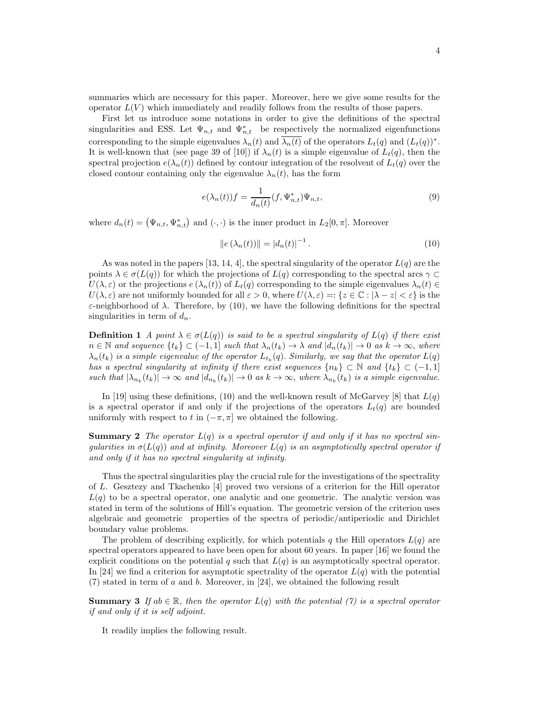summaries which are necessary for this paper. Moreover, here we give some results for the operator  $L(V)$  which immediately and readily follows from the results of those papers.

First let us introduce some notations in order to give the definitions of the spectral singularities and ESS. Let  $\Psi_{n,t}$  and  $\Psi_{n,t}^*$  be respectively the normalized eigenfunctions corresponding to the simple eigenvalues  $\lambda_n(t)$  and  $\lambda_n(t)$  of the operators  $L_t(q)$  and  $(L_t(q))^*$ . It is well-known that (see page 39 of [10]) if  $\lambda_n(t)$  is a simple eigenvalue of  $L_t(q)$ , then the spectral projection  $e(\lambda_n(t))$  defined by contour integration of the resolvent of  $L_t(q)$  over the closed contour containing only the eigenvalue  $\lambda_n(t)$ , has the form

$$
e(\lambda_n(t))f = \frac{1}{d_n(t)}(f, \Psi_{n,t}^*)\Psi_{n,t},
$$
\n<sup>(9)</sup>

where  $d_n(t) = (\Psi_{n,t}, \Psi_{n,t}^*)$  and  $(\cdot, \cdot)$  is the inner product in  $L_2[0, \pi]$ . Moreover

$$
||e(\lambda_n(t))|| = |d_n(t)|^{-1}.
$$
 (10)

As was noted in the papers [13, 14, 4], the spectral singularity of the operator  $L(q)$  are the points  $\lambda \in \sigma(L(q))$  for which the projections of  $L(q)$  corresponding to the spectral arcs  $\gamma \subset$  $U(\lambda, \varepsilon)$  or the projections  $e(\lambda_n(t))$  of  $L_t(q)$  corresponding to the simple eigenvalues  $\lambda_n(t) \in$  $U(\lambda, \varepsilon)$  are not uniformly bounded for all  $\varepsilon > 0$ , where  $U(\lambda, \varepsilon) =: \{z \in \mathbb{C} : |\lambda - z| < \varepsilon\}$  is the ε-neighborhood of  $\lambda$ . Therefore, by (10), we have the following definitions for the spectral singularities in term of  $d_n$ .

**Definition 1** A point  $\lambda \in \sigma(L(q))$  is said to be a spectral singularity of  $L(q)$  if there exist  $n \in \mathbb{N}$  and sequence  $\{t_k\} \subset (-1, 1]$  such that  $\lambda_n(t_k) \to \lambda$  and  $|d_n(t_k)| \to 0$  as  $k \to \infty$ , where  $\lambda_n(t_k)$  is a simple eigenvalue of the operator  $L_{t_k}(q)$ . Similarly, we say that the operator  $L(q)$ has a spectral singularity at infinity if there exist sequences  $\{n_k\} \subset \mathbb{N}$  and  $\{t_k\} \subset (-1,1]$ such that  $|\lambda_{n_k}(t_k)| \to \infty$  and  $|d_{n_k}(t_k)| \to 0$  as  $k \to \infty$ , where  $\lambda_{n_k}(t_k)$  is a simple eigenvalue.

In [19] using these definitions, (10) and the well-known result of McGarvey [8] that  $L(q)$ is a spectral operator if and only if the projections of the operators  $L_t(q)$  are bounded uniformly with respect to t in  $(-\pi, \pi]$  we obtained the following.

**Summary 2** The operator  $L(q)$  is a spectral operator if and only if it has no spectral singularities in  $\sigma(L(q))$  and at infinity. Moreover  $L(q)$  is an asymptotically spectral operator if and only if it has no spectral singularity at infinity.

Thus the spectral singularities play the crucial rule for the investigations of the spectrality of L. Gesztezy and Tkachenko [4] proved two versions of a criterion for the Hill operator  $L(q)$  to be a spectral operator, one analytic and one geometric. The analytic version was stated in term of the solutions of Hill's equation. The geometric version of the criterion uses algebraic and geometric properties of the spectra of periodic/antiperiodic and Dirichlet boundary value problems.

The problem of describing explicitly, for which potentials q the Hill operators  $L(q)$  are spectral operators appeared to have been open for about 60 years. In paper [16] we found the explicit conditions on the potential q such that  $L(q)$  is an asymptotically spectral operator. In [24] we find a criterion for asymptotic spectrality of the operator  $L(q)$  with the potential (7) stated in term of a and b. Moreover, in [24], we obtained the following result

**Summary 3** If  $ab \in \mathbb{R}$ , then the operator  $L(q)$  with the potential (7) is a spectral operator if and only if it is self adjoint.

It readily implies the following result.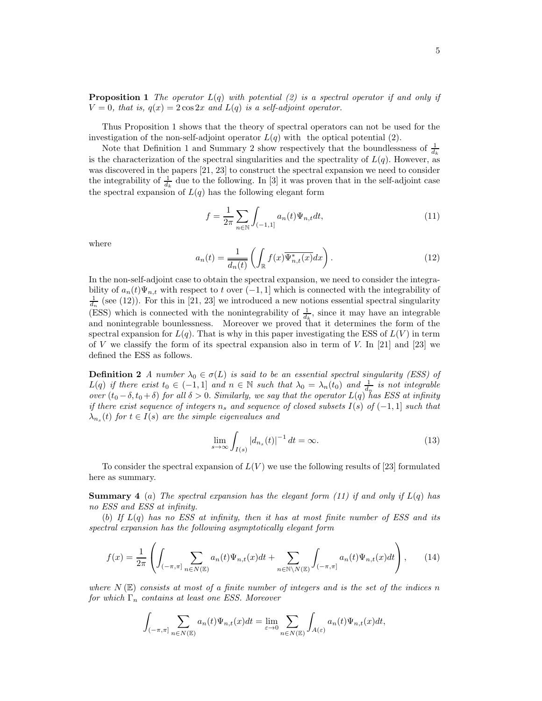**Proposition 1** The operator  $L(q)$  with potential (2) is a spectral operator if and only if  $V = 0$ , that is,  $q(x) = 2 \cos 2x$  and  $L(q)$  is a self-adjoint operator.

Thus Proposition 1 shows that the theory of spectral operators can not be used for the investigation of the non-self-adjoint operator  $L(q)$  with the optical potential (2).

Note that Definition 1 and Summary 2 show respectively that the boundlessness of  $\frac{1}{d_k}$ is the characterization of the spectral singularities and the spectrality of  $L(q)$ . However, as was discovered in the papers [21, 23] to construct the spectral expansion we need to consider the integrability of  $\frac{1}{d_k}$  due to the following. In [3] it was proven that in the self-adjoint case the spectral expansion of  $L(q)$  has the following elegant form

$$
f = \frac{1}{2\pi} \sum_{n \in \mathbb{N}} \int_{(-1,1]} a_n(t) \Psi_{n,t} dt,
$$
\n(11)

where

$$
a_n(t) = \frac{1}{\overline{d_n(t)}} \left( \int_{\mathbb{R}} f(x) \overline{\Psi_{n,t}^*(x)} dx \right).
$$
 (12)

In the non-self-adjoint case to obtain the spectral expansion, we need to consider the integrability of  $a_n(t)\Psi_{n,t}$  with respect to t over  $(-1,1]$  which is connected with the integrability of  $\frac{1}{d_n}$  (see (12)). For this in [21, 23] we introduced a new notions essential spectral singularity (ESS) which is connected with the nonintegrability of  $\frac{1}{d_k}$ , since it may have an integrable and nonintegrable bounlessness. Moreover we proved that it determines the form of the spectral expansion for  $L(q)$ . That is why in this paper investigating the ESS of  $L(V)$  in term of V we classify the form of its spectral expansion also in term of V. In  $[21]$  and  $[23]$  we defined the ESS as follows.

**Definition 2** A number  $\lambda_0 \in \sigma(L)$  is said to be an essential spectral singularity (ESS) of  $L(q)$  if there exist  $t_0 \in (-1,1]$  and  $n \in \mathbb{N}$  such that  $\lambda_0 = \lambda_n(t_0)$  and  $\frac{1}{d_n}$  is not integrable over  $(t_0 - \delta, t_0 + \delta)$  for all  $\delta > 0$ . Similarly, we say that the operator  $L(q)$  has ESS at infinity if there exist sequence of integers  $n_s$  and sequence of closed subsets I(s) of  $(-1, 1]$  such that  $\lambda_{n_s}(t)$  for  $t \in I(s)$  are the simple eigenvalues and

$$
\lim_{s \to \infty} \int_{I(s)} |d_{n_s}(t)|^{-1} dt = \infty.
$$
\n(13)

To consider the spectral expansion of  $L(V)$  we use the following results of [23] formulated here as summary.

**Summary 4** (a) The spectral expansion has the elegant form (11) if and only if  $L(q)$  has no ESS and ESS at infinity.

(b) If  $L(q)$  has no ESS at infinity, then it has at most finite number of ESS and its spectral expansion has the following asymptotically elegant form

$$
f(x) = \frac{1}{2\pi} \left( \int_{(-\pi,\pi]} \sum_{n \in N(\mathbb{E})} a_n(t) \Psi_{n,t}(x) dt + \sum_{n \in \mathbb{N} \backslash N(\mathbb{E})} \int_{(-\pi,\pi]} a_n(t) \Psi_{n,t}(x) dt \right), \quad (14)
$$

where  $N(\mathbb{E})$  consists at most of a finite number of integers and is the set of the indices n for which  $\Gamma_n$  contains at least one ESS. Moreover

$$
\int_{(-\pi,\pi]} \sum_{n \in N(\mathbb{E})} a_n(t) \Psi_{n,t}(x) dt = \lim_{\varepsilon \to 0} \sum_{n \in N(\mathbb{E})} \int_{A(\varepsilon)} a_n(t) \Psi_{n,t}(x) dt,
$$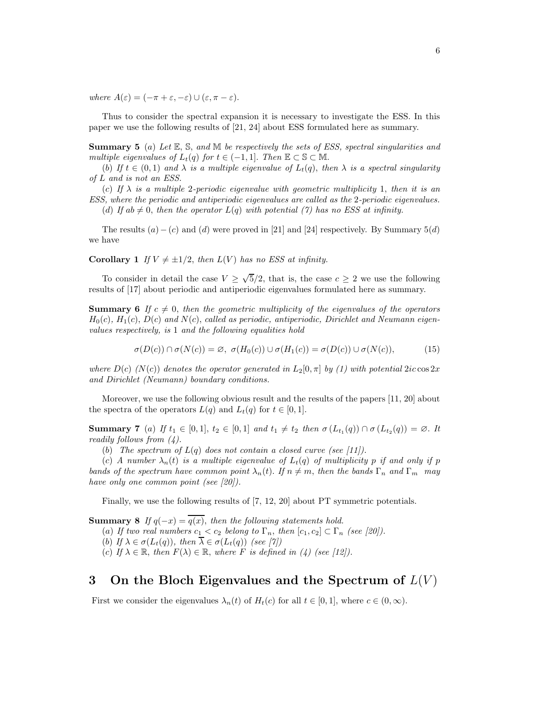where  $A(\varepsilon) = (-\pi + \varepsilon, -\varepsilon) \cup (\varepsilon, \pi - \varepsilon).$ 

Thus to consider the spectral expansion it is necessary to investigate the ESS. In this paper we use the following results of [21, 24] about ESS formulated here as summary.

**Summary 5** (a) Let  $\mathbb{E}$ ,  $\mathbb{S}$ , and  $\mathbb{M}$  be respectively the sets of ESS, spectral singularities and multiple eigenvalues of  $L_t(q)$  for  $t \in (-1,1]$ . Then  $\mathbb{E} \subset \mathbb{S} \subset \mathbb{M}$ .

(b) If  $t \in (0,1)$  and  $\lambda$  is a multiple eigenvalue of  $L_t(q)$ , then  $\lambda$  is a spectral singularity of L and is not an ESS.

(c) If  $\lambda$  is a multiple 2-periodic eigenvalue with geometric multiplicity 1, then it is an ESS, where the periodic and antiperiodic eigenvalues are called as the 2-periodic eigenvalues.

(d) If ab  $\neq 0$ , then the operator  $L(q)$  with potential (7) has no ESS at infinity.

The results  $(a) - (c)$  and  $(d)$  were proved in [21] and [24] respectively. By Summary 5(d) we have

**Corollary 1** If  $V \neq \pm 1/2$ , then  $L(V)$  has no ESS at infinity.

To consider in detail the case  $V \geq \sqrt{5}/2$ , that is, the case  $c \geq 2$  we use the following results of [17] about periodic and antiperiodic eigenvalues formulated here as summary.

**Summary 6** If  $c \neq 0$ , then the geometric multiplicity of the eigenvalues of the operators  $H_0(c)$ ,  $H_1(c)$ ,  $D(c)$  and  $N(c)$ , called as periodic, antiperiodic, Dirichlet and Neumann eigenvalues respectively, is 1 and the following equalities hold

$$
\sigma(D(c)) \cap \sigma(N(c)) = \varnothing, \ \sigma(H_0(c)) \cup \sigma(H_1(c)) = \sigma(D(c)) \cup \sigma(N(c)), \tag{15}
$$

where  $D(c)$  (N(c)) denotes the operator generated in  $L_2[0, \pi]$  by (1) with potential 2ic cos 2x and Dirichlet (Neumann) boundary conditions.

Moreover, we use the following obvious result and the results of the papers [11, 20] about the spectra of the operators  $L(q)$  and  $L_t(q)$  for  $t \in [0,1]$ .

Summary 7 (a) If  $t_1 \in [0,1]$ ,  $t_2 \in [0,1]$  and  $t_1 \neq t_2$  then  $\sigma(L_{t_1}(q)) \cap \sigma(L_{t_2}(q)) = \emptyset$ . It readily follows from  $(4)$ .

(b) The spectrum of  $L(q)$  does not contain a closed curve (see [11]).

(c) A number  $\lambda_n(t)$  is a multiple eigenvalue of  $L_t(q)$  of multiplicity p if and only if p bands of the spectrum have common point  $\lambda_n(t)$ . If  $n \neq m$ , then the bands  $\Gamma_n$  and  $\Gamma_m$  may have only one common point (see [20]).

Finally, we use the following results of [7, 12, 20] about PT symmetric potentials.

**Summary 8** If  $q(-x) = \overline{q(x)}$ , then the following statements hold.

(a) If two real numbers  $c_1 < c_2$  belong to  $\Gamma_n$ , then  $[c_1, c_2] \subset \Gamma_n$  (see [20]).

(b) If  $\lambda \in \sigma(L_t(q))$ , then  $\overline{\lambda} \in \sigma(L_t(q))$  (see [7])

(c) If  $\lambda \in \mathbb{R}$ , then  $F(\lambda) \in \mathbb{R}$ , where F is defined in (4) (see [12]).

### 3 On the Bloch Eigenvalues and the Spectrum of  $L(V)$

First we consider the eigenvalues  $\lambda_n(t)$  of  $H_t(c)$  for all  $t \in [0,1]$ , where  $c \in (0,\infty)$ .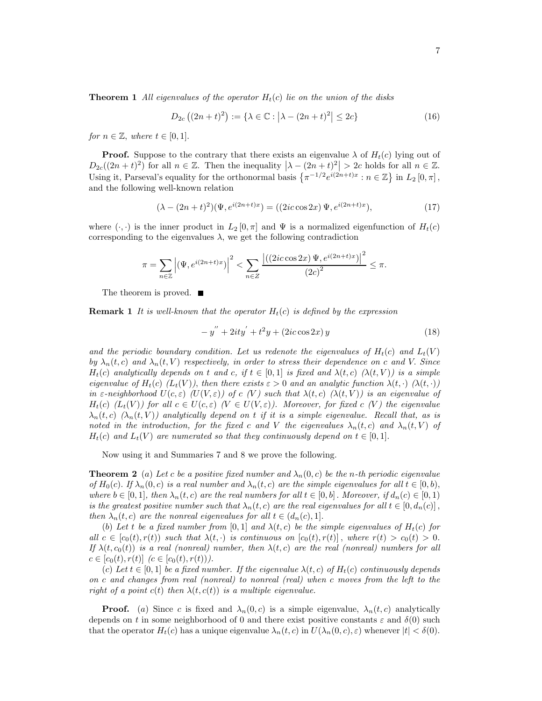**Theorem 1** All eigenvalues of the operator  $H_t(c)$  lie on the union of the disks

$$
D_{2c}((2n+t)^2) := \{ \lambda \in \mathbb{C} : |\lambda - (2n+t)^2| \le 2c \}
$$
 (16)

for  $n \in \mathbb{Z}$ , where  $t \in [0, 1]$ .

**Proof.** Suppose to the contrary that there exists an eigenvalue  $\lambda$  of  $H_t(c)$  lying out of  $D_{2c}((2n+t)^2)$  for all  $n \in \mathbb{Z}$ . Then the inequality  $\left|\lambda-(2n+t)^2\right|>2c$  holds for all  $n \in \mathbb{Z}$ . Using it, Parseval's equality for the orthonormal basis  $\{\pi^{-1/2}e^{i(2n+t)x}:n\in\mathbb{Z}\}\$  in  $L_2[0,\pi]$ , and the following well-known relation

$$
(\lambda - (2n+t)^2)(\Psi, e^{i(2n+t)x}) = ((2ic\cos 2x)\,\Psi, e^{i(2n+t)x}),\tag{17}
$$

where  $(\cdot, \cdot)$  is the inner product in  $L_2[0, \pi]$  and  $\Psi$  is a normalized eigenfunction of  $H_t(c)$ corresponding to the eigenvalues  $\lambda$ , we get the following contradiction

$$
\pi = \sum_{n \in \mathbb{Z}} \left| (\Psi, e^{i(2n+t)x}) \right|^2 < \sum_{n \in \mathbb{Z}} \frac{\left| \left( (2ic\cos 2x) \Psi, e^{i(2n+t)x} \right) \right|^2}{(2c)^2} \le \pi.
$$

The theorem is proved. ■

**Remark 1** It is well-known that the operator  $H_t(c)$  is defined by the expression

$$
-y'' + 2ity' + t^2y + (2ic\cos 2x)y \tag{18}
$$

and the periodic boundary condition. Let us redenote the eigenvalues of  $H_t(c)$  and  $L_t(V)$ by  $\lambda_n(t, c)$  and  $\lambda_n(t, V)$  respectively, in order to stress their dependence on c and V. Since  $H_t(c)$  analytically depends on t and c, if  $t \in [0,1]$  is fixed and  $\lambda(t,c)$   $(\lambda(t,V))$  is a simple eigenvalue of  $H_t(c)$  ( $L_t(V)$ ), then there exists  $\varepsilon > 0$  and an analytic function  $\lambda(t, \cdot)$  ( $\lambda(t, \cdot)$ ) in  $\varepsilon$ -neighborhood  $U(c, \varepsilon)$  ( $U(V, \varepsilon)$ ) of c (V) such that  $\lambda(t, c)$  ( $\lambda(t, V)$ ) is an eigenvalue of  $H_t(c)$  ( $L_t(V)$ ) for all  $c \in U(c,\varepsilon)$  ( $V \in U(V,\varepsilon)$ ). Moreover, for fixed c (V) the eigenvalue  $\lambda_n(t, c)$   $(\lambda_n(t, V))$  analytically depend on t if it is a simple eigenvalue. Recall that, as is noted in the introduction, for the fixed c and V the eigenvalues  $\lambda_n(t,c)$  and  $\lambda_n(t,V)$  of  $H_t(c)$  and  $L_t(V)$  are numerated so that they continuously depend on  $t \in [0,1]$ .

Now using it and Summaries 7 and 8 we prove the following.

**Theorem 2** (a) Let c be a positive fixed number and  $\lambda_n(0,c)$  be the n-th periodic eigenvalue of  $H_0(c)$ . If  $\lambda_n(0, c)$  is a real number and  $\lambda_n(t, c)$  are the simple eigenvalues for all  $t \in [0, b)$ , where  $b \in [0,1]$ , then  $\lambda_n(t,c)$  are the real numbers for all  $t \in [0,b]$ . Moreover, if  $d_n(c) \in [0,1)$ is the greatest positive number such that  $\lambda_n(t, c)$  are the real eigenvalues for all  $t \in [0, d_n(c)]$ , then  $\lambda_n(t, c)$  are the nonreal eigenvalues for all  $t \in (d_n(c), 1]$ .

(b) Let t be a fixed number from [0, 1] and  $\lambda(t, c)$  be the simple eigenvalues of  $H_t(c)$  for all  $c \in [c_0(t), r(t))$  such that  $\lambda(t, \cdot)$  is continuous on  $[c_0(t), r(t)]$ , where  $r(t) > c_0(t) > 0$ . If  $\lambda(t, c_0(t))$  is a real (nonreal) number, then  $\lambda(t, c)$  are the real (nonreal) numbers for all  $c \in [c_0(t), r(t)] \ (c \in [c_0(t), r(t))).$ 

(c) Let  $t \in [0, 1]$  be a fixed number. If the eigenvalue  $\lambda(t, c)$  of  $H_t(c)$  continuously depends on c and changes from real (nonreal) to nonreal (real) when c moves from the left to the right of a point  $c(t)$  then  $\lambda(t, c(t))$  is a multiple eigenvalue.

**Proof.** (a) Since c is fixed and  $\lambda_n(0,c)$  is a simple eigenvalue,  $\lambda_n(t,c)$  analytically depends on t in some neighborhood of 0 and there exist positive constants  $\varepsilon$  and  $\delta(0)$  such that the operator  $H_t(c)$  has a unique eigenvalue  $\lambda_n(t, c)$  in  $U(\lambda_n(0, c), \varepsilon)$  whenever  $|t| < \delta(0)$ .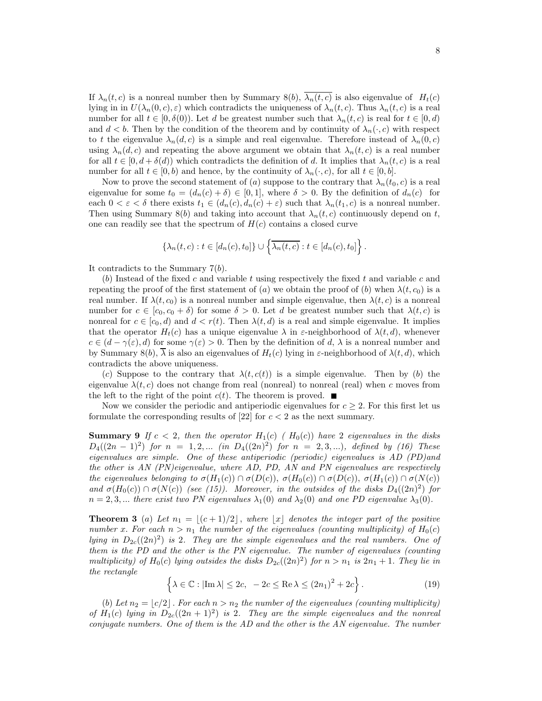If  $\lambda_n(t, c)$  is a nonreal number then by Summary 8(b),  $\overline{\lambda_n(t, c)}$  is also eigenvalue of  $H_t(c)$ lying in in  $U(\lambda_n(0, c), \varepsilon)$  which contradicts the uniqueness of  $\lambda_n(t, c)$ . Thus  $\lambda_n(t, c)$  is a real number for all  $t \in [0, \delta(0))$ . Let d be greatest number such that  $\lambda_n(t, c)$  is real for  $t \in [0, d)$ and  $d < b$ . Then by the condition of the theorem and by continuity of  $\lambda_n(\cdot, c)$  with respect to t the eigenvalue  $\lambda_n(d,c)$  is a simple and real eigenvalue. Therefore instead of  $\lambda_n(0,c)$ using  $\lambda_n(d,c)$  and repeating the above argument we obtain that  $\lambda_n(t,c)$  is a real number for all  $t \in [0, d + \delta(d))$  which contradicts the definition of d. It implies that  $\lambda_n(t, c)$  is a real number for all  $t \in [0, b)$  and hence, by the continuity of  $\lambda_n(\cdot, c)$ , for all  $t \in [0, b]$ .

Now to prove the second statement of (a) suppose to the contrary that  $\lambda_n(t_0, c)$  is a real eigenvalue for some  $t_0 = (d_n(c) + \delta) \in [0,1]$ , where  $\delta > 0$ . By the definition of  $d_n(c)$  for each  $0 < \varepsilon < \delta$  there exists  $t_1 \in (d_n(c), d_n(c) + \varepsilon)$  such that  $\lambda_n(t_1, c)$  is a nonreal number. Then using Summary 8(b) and taking into account that  $\lambda_n(t, c)$  continuously depend on t, one can readily see that the spectrum of  $H(c)$  contains a closed curve

$$
\{\lambda_n(t,c):t\in [d_n(c),t_0]\}\cup \left\{\overline{\lambda_n(t,c)}:t\in [d_n(c),t_0]\right\}.
$$

It contradicts to the Summary  $7(b)$ .

(b) Instead of the fixed c and variable t using respectively the fixed t and variable c and repeating the proof of the first statement of (a) we obtain the proof of (b) when  $\lambda(t, c_0)$  is a real number. If  $\lambda(t, c_0)$  is a nonreal number and simple eigenvalue, then  $\lambda(t, c)$  is a nonreal number for  $c \in [c_0, c_0 + \delta)$  for some  $\delta > 0$ . Let d be greatest number such that  $\lambda(t, c)$  is nonreal for  $c \in [c_0, d)$  and  $d < r(t)$ . Then  $\lambda(t, d)$  is a real and simple eigenvalue. It implies that the operator  $H_t(c)$  has a unique eigenvalue  $\lambda$  in  $\varepsilon$ -neighborhood of  $\lambda(t, d)$ , whenever  $c \in (d - \gamma(\varepsilon), d)$  for some  $\gamma(\varepsilon) > 0$ . Then by the definition of d,  $\lambda$  is a nonreal number and by Summary 8(b),  $\overline{\lambda}$  is also an eigenvalues of  $H_t(c)$  lying in  $\varepsilon$ -neighborhood of  $\lambda(t, d)$ , which contradicts the above uniqueness.

(c) Suppose to the contrary that  $\lambda(t, c(t))$  is a simple eigenvalue. Then by (b) the eigenvalue  $\lambda(t, c)$  does not change from real (nonreal) to nonreal (real) when c moves from the left to the right of the point  $c(t)$ . The theorem is proved.  $\blacksquare$ 

Now we consider the periodic and antiperiodic eigenvalues for  $c > 2$ . For this first let us formulate the corresponding results of  $[22]$  for  $c < 2$  as the next summary.

**Summary 9** If  $c < 2$ , then the operator  $H_1(c)$  ( $H_0(c)$ ) have 2 eigenvalues in the disks  $D_4((2n-1)^2)$  for  $n = 1, 2, ...$  (in  $D_4((2n)^2)$  for  $n = 2, 3, ...$ ), defined by (16) These eigenvalues are simple. One of these antiperiodic (periodic) eigenvalues is AD (PD)and the other is AN (PN)eigenvalue, where AD, PD, AN and PN eigenvalues are respectively the eigenvalues belonging to  $\sigma(H_1(c)) \cap \sigma(D(c))$ ,  $\sigma(H_0(c)) \cap \sigma(D(c))$ ,  $\sigma(H_1(c)) \cap \sigma(N(c))$ and  $\sigma(H_0(c)) \cap \sigma(N(c))$  (see (15)). Moreover, in the outsides of the disks  $D_4((2n)^2)$  for  $n = 2, 3, ...$  there exist two PN eigenvalues  $\lambda_1(0)$  and  $\lambda_2(0)$  and one PD eigenvalue  $\lambda_3(0)$ .

**Theorem 3** (a) Let  $n_1 = \lfloor (c+1)/2 \rfloor$ , where  $\lfloor x \rfloor$  denotes the integer part of the positive number x. For each  $n > n_1$  the number of the eigenvalues (counting multiplicity) of  $H_0(c)$ lying in  $D_{2c}((2n)^2)$  is 2. They are the simple eigenvalues and the real numbers. One of them is the PD and the other is the PN eigenvalue. The number of eigenvalues (counting multiplicity) of  $H_0(c)$  lying outsides the disks  $D_{2c}((2n)^2)$  for  $n > n_1$  is  $2n_1 + 1$ . They lie in the rectangle

$$
\left\{\lambda \in \mathbb{C} : |\text{Im }\lambda| \le 2c, \ -2c \le \text{Re }\lambda \le (2n_1)^2 + 2c\right\}.
$$
 (19)

(b) Let  $n_2 = \lfloor c/2 \rfloor$ . For each  $n > n_2$  the number of the eigenvalues (counting multiplicity) of  $H_1(c)$  lying in  $D_{2c}((2n+1)^2)$  is 2. They are the simple eigenvalues and the nonreal conjugate numbers. One of them is the AD and the other is the AN eigenvalue. The number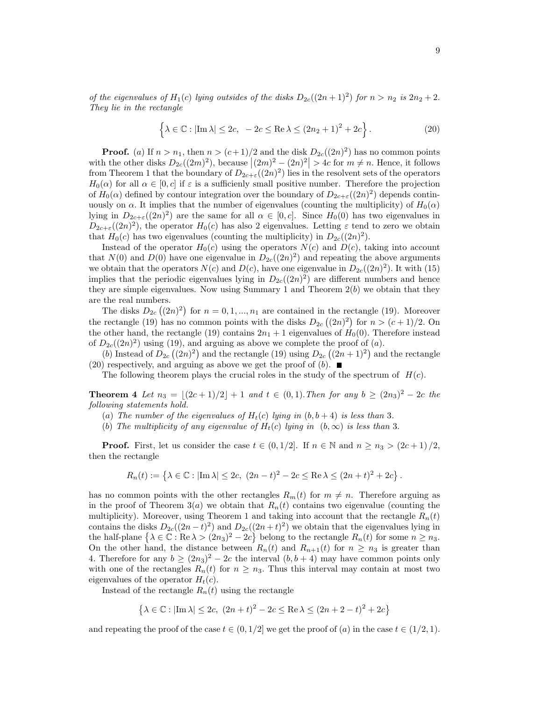of the eigenvalues of  $H_1(c)$  lying outsides of the disks  $D_{2c}((2n+1)^2)$  for  $n > n_2$  is  $2n_2 + 2$ . They lie in the rectangle

$$
\left\{\lambda \in \mathbb{C} : |\text{Im }\lambda| \le 2c, \ -2c \le \text{Re }\lambda \le (2n_2 + 1)^2 + 2c\right\}.
$$
 (20)

**Proof.** (a) If  $n > n_1$ , then  $n > (c+1)/2$  and the disk  $D_{2c}((2n)^2)$  has no common points with the other disks  $D_{2c}((2m)^2)$ , because  $|(2m)^2 - (2n)^2| > 4c$  for  $m \neq n$ . Hence, it follows from Theorem 1 that the boundary of  $D_{2c+\varepsilon}((2n)^2)$  lies in the resolvent sets of the operators  $H_0(\alpha)$  for all  $\alpha \in [0, c]$  if  $\varepsilon$  is a sufficienly small positive number. Therefore the projection of  $H_0(\alpha)$  defined by contour integration over the boundary of  $D_{2c+\epsilon}((2n)^2)$  depends continuously on  $\alpha$ . It implies that the number of eigenvalues (counting the multiplicity) of  $H_0(\alpha)$ lying in  $D_{2c+\varepsilon}((2n)^2)$  are the same for all  $\alpha \in [0, c]$ . Since  $H_0(0)$  has two eigenvalues in  $D_{2c+\varepsilon}((2n)^2)$ , the operator  $H_0(c)$  has also 2 eigenvalues. Letting  $\varepsilon$  tend to zero we obtain that  $H_0(c)$  has two eigenvalues (counting the multiplicity) in  $D_{2c}((2n)^2)$ .

Instead of the operator  $H_0(c)$  using the operators  $N(c)$  and  $D(c)$ , taking into account that  $N(0)$  and  $D(0)$  have one eigenvalue in  $D_{2c}((2n)^2)$  and repeating the above arguments we obtain that the operators  $N(c)$  and  $D(c)$ , have one eigenvalue in  $D_{2c}((2n)^2)$ . It with (15) implies that the periodic eigenvalues lying in  $D_{2c}((2n)^2)$  are different numbers and hence they are simple eigenvalues. Now using Summary 1 and Theorem  $2(b)$  we obtain that they are the real numbers.

The disks  $D_{2c}((2n)^2)$  for  $n = 0, 1, ..., n_1$  are contained in the rectangle (19). Moreover the rectangle (19) has no common points with the disks  $D_{2c}((2n)^2)$  for  $n > (c+1)/2$ . On the other hand, the rectangle (19) contains  $2n_1 + 1$  eigenvalues of  $H_0(0)$ . Therefore instead of  $D_{2c}((2n)^2)$  using (19), and arguing as above we complete the proof of  $(a)$ .

(b) Instead of  $D_{2c}((2n)^2)$  and the rectangle (19) using  $D_{2c}((2n+1)^2)$  and the rectangle (20) respectively, and arguing as above we get the proof of  $(b)$ .

The following theorem plays the crucial roles in the study of the spectrum of  $H(c)$ .

**Theorem 4** Let  $n_3 = \lfloor (2c+1)/2 \rfloor + 1$  and  $t \in (0,1)$ . Then for any  $b \ge (2n_3)^2 - 2c$  the following statements hold.

- (a) The number of the eigenvalues of  $H_t(c)$  lying in  $(b, b+4)$  is less than 3.
- (b) The multiplicity of any eigenvalue of  $H_t(c)$  lying in  $(b, \infty)$  is less than 3.

**Proof.** First, let us consider the case  $t \in (0, 1/2]$ . If  $n \in \mathbb{N}$  and  $n \geq n_3 > (2c+1)/2$ , then the rectangle

$$
R_n(t):=\left\{\lambda\in\mathbb{C}:\left|{\rm Im}\,\lambda\right|\le 2c,\ (2n-t)^2-2c\le \operatorname{Re} \lambda\le (2n+t)^2+2c\right\}.
$$

has no common points with the other rectangles  $R_m(t)$  for  $m \neq n$ . Therefore arguing as in the proof of Theorem 3(a) we obtain that  $R_n(t)$  contains two eigenvalue (counting the multiplicity). Moreover, using Theorem 1 and taking into account that the rectangle  $R_n(t)$ contains the disks  $D_{2c}((2n-t)^2)$  and  $D_{2c}((2n+t)^2)$  we obtain that the eigenvalues lying in the half-plane  $\{\lambda \in \mathbb{C} : \text{Re }\lambda > (2n_3)^2 - 2c\}$  belong to the rectangle  $R_n(t)$  for some  $n \geq n_3$ . On the other hand, the distance between  $R_n(t)$  and  $R_{n+1}(t)$  for  $n \geq n_3$  is greater than 4. Therefore for any  $b \ge (2n_3)^2 - 2c$  the interval  $(b, b + 4)$  may have common points only with one of the rectangles  $R_n(t)$  for  $n \geq n_3$ . Thus this interval may contain at most two eigenvalues of the operator  $H_t(c)$ .

Instead of the rectangle  $R_n(t)$  using the rectangle

$$
\left\{\lambda\in\mathbb{C}:|\text{Im }\lambda|\leq 2c,\ (2n+t)^2-2c\leq \text{Re }\lambda\leq (2n+2-t)^2+2c\right\}
$$

and repeating the proof of the case  $t \in (0, 1/2]$  we get the proof of  $(a)$  in the case  $t \in (1/2, 1)$ .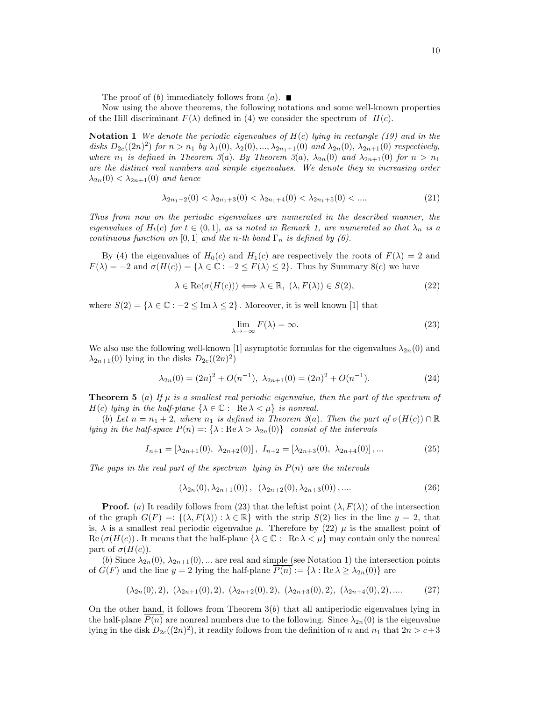The proof of (b) immediately follows from  $(a)$ .

Now using the above theorems, the following notations and some well-known properties of the Hill discriminant  $F(\lambda)$  defined in (4) we consider the spectrum of  $H(c)$ .

**Notation 1** We denote the periodic eigenvalues of  $H(c)$  lying in rectangle (19) and in the disks  $D_{2c}((2n)^2)$  for  $n > n_1$  by  $\lambda_1(0), \lambda_2(0), ..., \lambda_{2n_1+1}(0)$  and  $\lambda_{2n}(0), \lambda_{2n+1}(0)$  respectively, where  $n_1$  is defined in Theorem 3(a). By Theorem 3(a),  $\lambda_{2n}(0)$  and  $\lambda_{2n+1}(0)$  for  $n > n_1$ are the distinct real numbers and simple eigenvalues. We denote they in increasing order  $\lambda_{2n}(0) < \lambda_{2n+1}(0)$  and hence

$$
\lambda_{2n_1+2}(0) < \lambda_{2n_1+3}(0) < \lambda_{2n_1+4}(0) < \lambda_{2n_1+5}(0) < \dots \tag{21}
$$

Thus from now on the periodic eigenvalues are numerated in the described manner, the eigenvalues of  $H_t(c)$  for  $t \in (0,1]$ , as is noted in Remark 1, are numerated so that  $\lambda_n$  is a continuous function on [0, 1] and the n-th band  $\Gamma_n$  is defined by (6).

By (4) the eigenvalues of  $H_0(c)$  and  $H_1(c)$  are respectively the roots of  $F(\lambda) = 2$  and  $F(\lambda) = -2$  and  $\sigma(H(c)) = {\lambda \in \mathbb{C} : -2 \leq F(\lambda) \leq 2}.$  Thus by Summary 8(c) we have

$$
\lambda \in \text{Re}(\sigma(H(c))) \Longleftrightarrow \lambda \in \mathbb{R}, \ (\lambda, F(\lambda)) \in S(2), \tag{22}
$$

where  $S(2) = \{\lambda \in \mathbb{C} : -2 \leq \text{Im }\lambda \leq 2\}$ . Moreover, it is well known [1] that

$$
\lim_{\lambda \to -\infty} F(\lambda) = \infty. \tag{23}
$$

We also use the following well-known [1] asymptotic formulas for the eigenvalues  $\lambda_{2n}(0)$  and  $\lambda_{2n+1}(0)$  lying in the disks  $D_{2c}((2n)^2)$ 

$$
\lambda_{2n}(0) = (2n)^2 + O(n^{-1}), \ \lambda_{2n+1}(0) = (2n)^2 + O(n^{-1}). \tag{24}
$$

**Theorem 5** (a) If  $\mu$  is a smallest real periodic eigenvalue, then the part of the spectrum of  $H(c)$  lying in the half-plane  $\{\lambda \in \mathbb{C}: \text{ Re }\lambda < \mu\}$  is nonreal.

(b) Let  $n = n_1 + 2$ , where  $n_1$  is defined in Theorem 3(a). Then the part of  $\sigma(H(c)) \cap \mathbb{R}$ lying in the half-space  $P(n) =: {\lambda : \text{Re }\lambda > \lambda_{2n}(0)}$  consist of the intervals

$$
I_{n+1} = [\lambda_{2n+1}(0), \ \lambda_{2n+2}(0)], \ I_{n+2} = [\lambda_{2n+3}(0), \ \lambda_{2n+4}(0)], \dots \tag{25}
$$

The gaps in the real part of the spectrum lying in  $P(n)$  are the intervals

$$
(\lambda_{2n}(0), \lambda_{2n+1}(0)), \ (\lambda_{2n+2}(0), \lambda_{2n+3}(0)), \dots
$$
 (26)

**Proof.** (a) It readily follows from (23) that the leftist point  $(\lambda, F(\lambda))$  of the intersection of the graph  $G(F) =: \{(\lambda, F(\lambda)) : \lambda \in \mathbb{R}\}\)$  with the strip  $S(2)$  lies in the line  $y = 2$ , that is,  $\lambda$  is a smallest real periodic eigenvalue  $\mu$ . Therefore by (22)  $\mu$  is the smallest point of  $\text{Re}(\sigma(H(c))$ . It means that the half-plane  $\{\lambda \in \mathbb{C}: \text{Re }\lambda < \mu\}$  may contain only the nonreal part of  $\sigma(H(c))$ .

(b) Since  $\lambda_{2n}(0), \lambda_{2n+1}(0), \ldots$  are real and simple (see Notation 1) the intersection points of  $G(F)$  and the line  $y = 2$  lying the half-plane  $P(n) := {\lambda : \text{Re } \lambda \geq \lambda_{2n}(0)}$  are

$$
(\lambda_{2n}(0), 2), (\lambda_{2n+1}(0), 2), (\lambda_{2n+2}(0), 2), (\lambda_{2n+3}(0), 2), (\lambda_{2n+4}(0), 2), .... \qquad (27)
$$

On the other hand, it follows from Theorem  $3(b)$  that all antiperiodic eigenvalues lying in the half-plane  $P(n)$  are nonreal numbers due to the following. Since  $\lambda_{2n}(0)$  is the eigenvalue lying in the disk  $D_{2c}((2n)^2)$ , it readily follows from the definition of n and  $n_1$  that  $2n > c+3$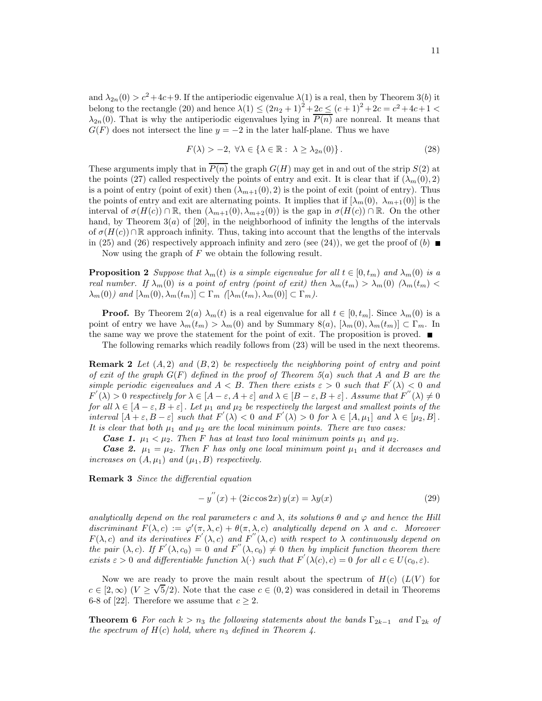and  $\lambda_{2n}(0) > c^2 + 4c + 9$ . If the antiperiodic eigenvalue  $\lambda(1)$  is a real, then by Theorem 3(b) it belong to the rectangle (20) and hence  $\lambda(1) \le (2n_2 + 1)^2 + 2c \le (c+1)^2 + 2c = c^2 + 4c + 1 <$  $\lambda_{2n}(0)$ . That is why the antiperiodic eigenvalues lying in  $\overline{P(n)}$  are nonreal. It means that  $G(F)$  does not intersect the line  $y = -2$  in the later half-plane. Thus we have

$$
F(\lambda) > -2, \ \forall \lambda \in \{\lambda \in \mathbb{R} : \ \lambda \ge \lambda_{2n}(0)\}.
$$
 (28)

These arguments imply that in  $P(n)$  the graph  $G(H)$  may get in and out of the strip  $S(2)$  at the points (27) called respectively the points of entry and exit. It is clear that if  $(\lambda_m(0), 2)$ is a point of entry (point of exit) then  $(\lambda_{m+1}(0), 2)$  is the point of exit (point of entry). Thus the points of entry and exit are alternating points. It implies that if  $[\lambda_m(0), \lambda_{m+1}(0)]$  is the interval of  $\sigma(H(c)) \cap \mathbb{R}$ , then  $(\lambda_{m+1}(0), \lambda_{m+2}(0))$  is the gap in  $\sigma(H(c)) \cap \mathbb{R}$ . On the other hand, by Theorem  $3(a)$  of [20], in the neighborhood of infinity the lengths of the intervals of  $\sigma(H(c))\cap \mathbb{R}$  approach infinity. Thus, taking into account that the lengths of the intervals in (25) and (26) respectively approach infinity and zero (see (24)), we get the proof of (b)

Now using the graph of  $F$  we obtain the following result.

**Proposition 2** Suppose that  $\lambda_m(t)$  is a simple eigenvalue for all  $t \in [0, t_m)$  and  $\lambda_m(0)$  is a real number. If  $\lambda_m(0)$  is a point of entry (point of exit) then  $\lambda_m(t_m) > \lambda_m(0)$  ( $\lambda_m(t_m)$ )  $\lambda_m(0)$  and  $[\lambda_m(0), \lambda_m(t_m)] \subset \Gamma_m$   $([\lambda_m(t_m), \lambda_m(0)] \subset \Gamma_m$ ).

**Proof.** By Theorem  $2(a) \lambda_m(t)$  is a real eigenvalue for all  $t \in [0, t_m]$ . Since  $\lambda_m(0)$  is a point of entry we have  $\lambda_m(t_m) > \lambda_m(0)$  and by Summary  $8(a)$ ,  $[\lambda_m(0), \lambda_m(t_m)] \subset \Gamma_m$ . In the same way we prove the statement for the point of exit. The proposition is proved.  $\blacksquare$ 

The following remarks which readily follows from (23) will be used in the next theorems.

**Remark 2** Let  $(A, 2)$  and  $(B, 2)$  be respectively the neighboring point of entry and point of exit of the graph  $G(F)$  defined in the proof of Theorem 5(a) such that A and B are the simple periodic eigenvalues and  $A < B$ . Then there exists  $\varepsilon > 0$  such that  $F'(\lambda) < 0$  and  $F'(\lambda) > 0$  respectively for  $\lambda \in [A - \varepsilon, A + \varepsilon]$  and  $\lambda \in [B - \varepsilon, B + \varepsilon]$ . Assume that  $F''(\lambda) \neq 0$ for all  $\lambda \in [A-\varepsilon, B+\varepsilon]$ . Let  $\mu_1$  and  $\mu_2$  be respectively the largest and smallest points of the interval  $[A + \varepsilon, B - \varepsilon]$  such that  $F'(\lambda) < 0$  and  $F'(\lambda) > 0$  for  $\lambda \in [A, \mu_1]$  and  $\lambda \in [\mu_2, B]$ . It is clear that both  $\mu_1$  and  $\mu_2$  are the local minimum points. There are two cases:

*Case 1.*  $\mu_1 < \mu_2$ . Then F has at least two local minimum points  $\mu_1$  and  $\mu_2$ .

**Case 2.**  $\mu_1 = \mu_2$ . Then F has only one local minimum point  $\mu_1$  and it decreases and increases on  $(A, \mu_1)$  and  $(\mu_1, B)$  respectively.

Remark 3 Since the differential equation

$$
-y''(x) + (2ic \cos 2x) y(x) = \lambda y(x)
$$
\n(29)

analytically depend on the real parameters c and  $\lambda$ , its solutions  $\theta$  and  $\varphi$  and hence the Hill discriminant  $F(\lambda, c) := \varphi'(\pi, \lambda, c) + \theta(\pi, \lambda, c)$  analytically depend on  $\lambda$  and c. Moreover  $F(\lambda, c)$  and its derivatives  $F'(\lambda, c)$  and  $F''(\lambda, c)$  with respect to  $\lambda$  continuously depend on the pair  $(\lambda, c)$ . If  $F'(\lambda, c_0) = 0$  and  $F''(\lambda, c_0) \neq 0$  then by implicit function theorem there exists  $\varepsilon > 0$  and differentiable function  $\lambda(\cdot)$  such that  $F'(\lambda(c), c) = 0$  for all  $c \in U(c_0, \varepsilon)$ .

Now we are ready to prove the main result about the spectrum of  $H(c)$  ( $L(V)$ ) for  $c \in [2,\infty)$   $(V \geq \sqrt{5}/2)$ . Note that the case  $c \in (0,2)$  was considered in detail in Theorems 6-8 of [22]. Therefore we assume that  $c \geq 2$ .

**Theorem 6** For each  $k > n_3$  the following statements about the bands  $\Gamma_{2k-1}$  and  $\Gamma_{2k}$  of the spectrum of  $H(c)$  hold, where  $n_3$  defined in Theorem 4.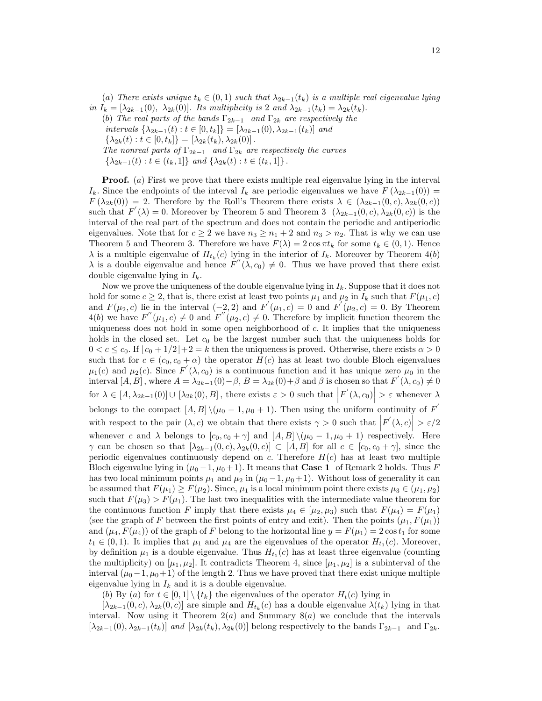(a) There exists unique  $t_k \in (0,1)$  such that  $\lambda_{2k-1}(t_k)$  is a multiple real eigenvalue lying in  $I_k = [\lambda_{2k-1}(0), \lambda_{2k}(0)]$ . Its multiplicity is 2 and  $\lambda_{2k-1}(t_k) = \lambda_{2k}(t_k)$ . (b) The real parts of the bands  $\Gamma_{2k-1}$  and  $\Gamma_{2k}$  are respectively the

intervals  $\{\lambda_{2k-1}(t): t \in [0, t_k]\} = [\lambda_{2k-1}(0), \lambda_{2k-1}(t_k)]$  and

 $\{\lambda_{2k}(t): t \in [0, t_k]\} = [\lambda_{2k}(t_k), \lambda_{2k}(0)].$ 

The nonreal parts of  $\Gamma_{2k-1}$  and  $\Gamma_{2k}$  are respectively the curves

 $\{\lambda_{2k-1}(t) : t \in (t_k, 1]\}$  and  $\{\lambda_{2k}(t) : t \in (t_k, 1]\}$ .

**Proof.** (a) First we prove that there exists multiple real eigenvalue lying in the interval  $I_k$ . Since the endpoints of the interval  $I_k$  are periodic eigenvalues we have  $F(\lambda_{2k-1}(0)) =$  $F(\lambda_{2k}(0)) = 2$ . Therefore by the Roll's Theorem there exists  $\lambda \in (\lambda_{2k-1}(0, c), \lambda_{2k}(0, c))$ such that  $F(\lambda) = 0$ . Moreover by Theorem 5 and Theorem 3  $(\lambda_{2k-1}(0, c), \lambda_{2k}(0, c))$  is the interval of the real part of the spectrum and does not contain the periodic and antiperiodic eigenvalues. Note that for  $c \ge 2$  we have  $n_3 \ge n_1 + 2$  and  $n_3 > n_2$ . That is why we can use Theorem 5 and Theorem 3. Therefore we have  $F(\lambda) = 2 \cos \pi t_k$  for some  $t_k \in (0,1)$ . Hence  $\lambda$  is a multiple eigenvalue of  $H_{t_k}(c)$  lying in the interior of  $I_k$ . Moreover by Theorem 4(b)  $\lambda$  is a double eigenvalue and hence  $F''(\lambda, c_0) \neq 0$ . Thus we have proved that there exist double eigenvalue lying in  $I_k$ .

Now we prove the uniqueness of the double eigenvalue lying in  $I_k$ . Suppose that it does not hold for some  $c \ge 2$ , that is, there exist at least two points  $\mu_1$  and  $\mu_2$  in  $I_k$  such that  $F(\mu_1, c)$ and  $F(\mu_2, c)$  lie in the interval  $(-2, 2)$  and  $F'(\mu_1, c) = 0$  and  $F'(\mu_2, c) = 0$ . By Theorem  $4(b)$  we have  $F''(\mu_1, c) \neq 0$  and  $F''(\mu_2, c) \neq 0$ . Therefore by implicit function theorem the uniqueness does not hold in some open neighborhood of c. It implies that the uniqueness holds in the closed set. Let  $c_0$  be the largest number such that the uniqueness holds for  $0 < c \leq c_0$ . If  $\lfloor c_0 + 1/2 \rfloor + 2 = k$  then the uniqueness is proved. Otherwise, there exists  $\alpha > 0$ such that for  $c \in (c_0, c_0 + \alpha)$  the operator  $H(c)$  has at least two double Bloch eigenvalues  $\mu_1(c)$  and  $\mu_2(c)$ . Since  $F'(\lambda, c_0)$  is a continuous function and it has unique zero  $\mu_0$  in the interval  $[A, B]$ , where  $A = \lambda_{2k-1}(0) - \beta$ ,  $B = \lambda_{2k}(0) + \beta$  and  $\beta$  is chosen so that  $F'(\lambda, c_0) \neq 0$ for  $\lambda \in [A, \lambda_{2k-1}(0)] \cup [\lambda_{2k}(0), B]$ , there exists  $\varepsilon > 0$  such that  $|F'(\lambda, c_0)| > \varepsilon$  whenever  $\lambda$ belongs to the compact  $[A, B] \setminus (\mu_0 - 1, \mu_0 + 1)$ . Then using the uniform continuity of  $F'$ with respect to the pair  $(\lambda, c)$  we obtain that there exists  $\gamma > 0$  such that  $|F'(\lambda, c)| > \varepsilon/2$ whenever c and  $\lambda$  belongs to  $[c_0, c_0 + \gamma]$  and  $[A, B] \setminus (\mu_0 - 1, \mu_0 + 1)$  respectively. Here  $\gamma$  can be chosen so that  $[\lambda_{2k-1}(0, c), \lambda_{2k}(0, c)] \subset [A, B]$  for all  $c \in [c_0, c_0 + \gamma]$ , since the periodic eigenvalues continuously depend on c. Therefore  $H(c)$  has at least two multiple Bloch eigenvalue lying in  $(\mu_0 - 1, \mu_0 + 1)$ . It means that **Case 1** of Remark 2 holds. Thus F has two local minimum points  $\mu_1$  and  $\mu_2$  in ( $\mu_0$  – 1,  $\mu_0$  + 1). Without loss of generality it can be assumed that  $F(\mu_1) \geq F(\mu_2)$ . Since,  $\mu_1$  is a local minimum point there exists  $\mu_3 \in (\mu_1, \mu_2)$ such that  $F(\mu_3) > F(\mu_1)$ . The last two inequalities with the intermediate value theorem for the continuous function F imply that there exists  $\mu_4 \in [\mu_2, \mu_3)$  such that  $F(\mu_4) = F(\mu_1)$ (see the graph of F between the first points of entry and exit). Then the points  $(\mu_1, F(\mu_1))$ and  $(\mu_4, F(\mu_4))$  of the graph of F belong to the horizontal line  $y = F(\mu_1) = 2 \cos t_1$  for some  $t_1 \in (0,1)$ . It implies that  $\mu_1$  and  $\mu_4$  are the eigenvalues of the operator  $H_{t_1}(c)$ . Moreover, by definition  $\mu_1$  is a double eigenvalue. Thus  $H_{t_1}(c)$  has at least three eigenvalue (counting the multiplicity) on  $[\mu_1, \mu_2]$ . It contradicts Theorem 4, since  $[\mu_1, \mu_2]$  is a subinterval of the interval  $(\mu_0-1, \mu_0+1)$  of the length 2. Thus we have proved that there exist unique multiple eigenvalue lying in  $I_k$  and it is a double eigenvalue.

(b) By (a) for  $t \in [0,1] \setminus \{t_k\}$  the eigenvalues of the operator  $H_t(c)$  lying in

 $[\lambda_{2k-1}(0, c), \lambda_{2k}(0, c)]$  are simple and  $H_{t_k}(c)$  has a double eigenvalue  $\lambda(t_k)$  lying in that interval. Now using it Theorem  $2(a)$  and Summary  $8(a)$  we conclude that the intervals  $[\lambda_{2k-1}(0), \lambda_{2k-1}(t_k)]$  and  $[\lambda_{2k}(t_k), \lambda_{2k}(0)]$  belong respectively to the bands  $\Gamma_{2k-1}$  and  $\Gamma_{2k}$ .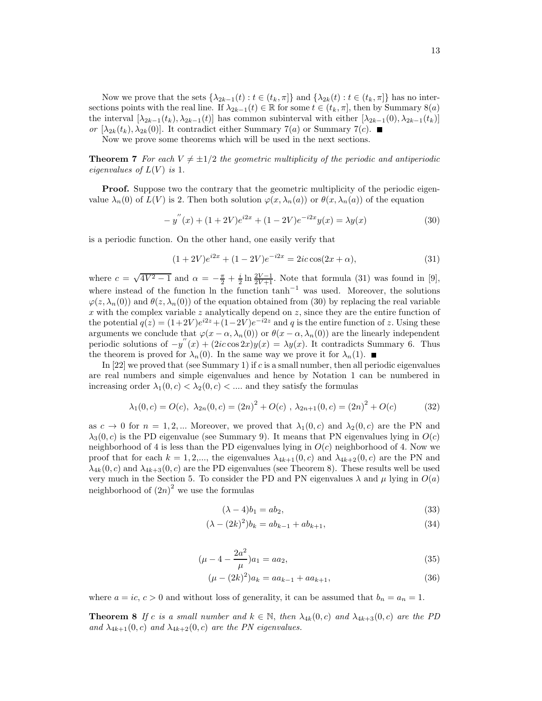Now we prove that the sets  $\{\lambda_{2k-1}(t) : t \in (t_k, \pi]\}$  and  $\{\lambda_{2k}(t) : t \in (t_k, \pi]\}$  has no intersections points with the real line. If  $\lambda_{2k-1}(t) \in \mathbb{R}$  for some  $t \in (t_k, \pi]$ , then by Summary 8(a) the interval  $[\lambda_{2k-1}(t_k), \lambda_{2k-1}(t)]$  has common subinterval with either  $[\lambda_{2k-1}(0), \lambda_{2k-1}(t_k)]$ or  $[\lambda_{2k}(t_k), \lambda_{2k}(0)]$ . It contradict either Summary  $7(a)$  or Summary  $7(c)$ .

Now we prove some theorems which will be used in the next sections.

**Theorem 7** For each  $V \neq \pm 1/2$  the geometric multiplicity of the periodic and antiperiodic eigenvalues of  $L(V)$  is 1.

**Proof.** Suppose two the contrary that the geometric multiplicity of the periodic eigenvalue  $\lambda_n(0)$  of  $L(V)$  is 2. Then both solution  $\varphi(x, \lambda_n(a))$  or  $\theta(x, \lambda_n(a))$  of the equation

$$
-y''(x) + (1+2V)e^{i2x} + (1-2V)e^{-i2x}y(x) = \lambda y(x)
$$
\n(30)

is a periodic function. On the other hand, one easily verify that

$$
(1+2V)e^{i2x} + (1-2V)e^{-i2x} = 2ic\cos(2x+\alpha),\tag{31}
$$

where  $c = \sqrt{4V^2 - 1}$  and  $\alpha = -\frac{\pi}{2} + \frac{i}{2} \ln \frac{2V - 1}{2V + 1}$ . Note that formula (31) was found in [9], where instead of the function ln the function  $\tanh^{-1}$  was used. Moreover, the solutions  $\varphi(z, \lambda_n(0))$  and  $\theta(z, \lambda_n(0))$  of the equation obtained from (30) by replacing the real variable x with the complex variable z analytically depend on z, since they are the entire function of the potential  $q(z) = (1+2V)e^{i2z} + (1-2V)e^{-i2z}$  and q is the entire function of z. Using these arguments we conclude that  $\varphi(x-\alpha,\lambda_n(0))$  or  $\theta(x-\alpha,\lambda_n(0))$  are the linearly independent periodic solutions of  $-y''(x) + (2ic \cos 2x)y(x) = \lambda y(x)$ . It contradicts Summary 6. Thus the theorem is proved for  $\lambda_n(0)$ . In the same way we prove it for  $\lambda_n(1)$ .

In  $[22]$  we proved that (see Summary 1) if c is a small number, then all periodic eigenvalues are real numbers and simple eigenvalues and hence by Notation 1 can be numbered in increasing order  $\lambda_1(0, c) < \lambda_2(0, c) < \dots$  and they satisfy the formulas

$$
\lambda_1(0, c) = O(c), \ \lambda_{2n}(0, c) = (2n)^2 + O(c), \ \lambda_{2n+1}(0, c) = (2n)^2 + O(c) \tag{32}
$$

as  $c \to 0$  for  $n = 1, 2, ...$  Moreover, we proved that  $\lambda_1(0, c)$  and  $\lambda_2(0, c)$  are the PN and  $\lambda_3(0, c)$  is the PD eigenvalue (see Summary 9). It means that PN eigenvalues lying in  $O(c)$ neighborhood of 4 is less than the PD eigenvalues lying in  $O(c)$  neighborhood of 4. Now we proof that for each  $k = 1, 2,...$ , the eigenvalues  $\lambda_{4k+1}(0, c)$  and  $\lambda_{4k+2}(0, c)$  are the PN and  $\lambda_{4k}(0, c)$  and  $\lambda_{4k+3}(0, c)$  are the PD eigenvalues (see Theorem 8). These results well be used very much in the Section 5. To consider the PD and PN eigenvalues  $\lambda$  and  $\mu$  lying in  $O(a)$ neighborhood of  $(2n)^2$  we use the formulas

$$
(\lambda - 4)b_1 = ab_2,\t\t(33)
$$

$$
(\lambda - (2k)^2)b_k = ab_{k-1} + ab_{k+1},
$$
\n(34)

$$
(\mu - 4 - \frac{2a^2}{\mu})a_1 = aa_2,
$$
\n(35)

$$
(\mu - (2k)^2)a_k = aa_{k-1} + aa_{k+1},
$$
\n(36)

where  $a = ic, c > 0$  and without loss of generality, it can be assumed that  $b_n = a_n = 1$ .

**Theorem 8** If c is a small number and  $k \in \mathbb{N}$ , then  $\lambda_{4k}(0, c)$  and  $\lambda_{4k+3}(0, c)$  are the PD and  $\lambda_{4k+1}(0, c)$  and  $\lambda_{4k+2}(0, c)$  are the PN eigenvalues.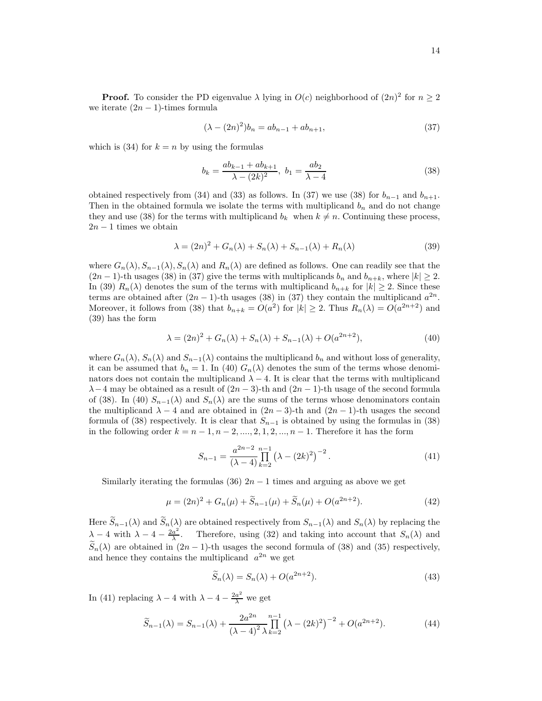**Proof.** To consider the PD eigenvalue  $\lambda$  lying in  $O(c)$  neighborhood of  $(2n)^2$  for  $n \ge 2$ we iterate  $(2n - 1)$ -times formula

$$
(\lambda - (2n)^2)b_n = ab_{n-1} + ab_{n+1},
$$
\n(37)

which is (34) for  $k = n$  by using the formulas

$$
b_k = \frac{ab_{k-1} + ab_{k+1}}{\lambda - (2k)^2}, \ b_1 = \frac{ab_2}{\lambda - 4}
$$
 (38)

obtained respectively from (34) and (33) as follows. In (37) we use (38) for  $b_{n-1}$  and  $b_{n+1}$ . Then in the obtained formula we isolate the terms with multiplicand  $b_n$  and do not change they and use (38) for the terms with multiplicand  $b_k$  when  $k \neq n$ . Continuing these process,  $2n - 1$  times we obtain

$$
\lambda = (2n)^2 + G_n(\lambda) + S_n(\lambda) + S_{n-1}(\lambda) + R_n(\lambda)
$$
\n(39)

where  $G_n(\lambda), S_{n-1}(\lambda), S_n(\lambda)$  and  $R_n(\lambda)$  are defined as follows. One can readily see that the  $(2n-1)$ -th usages (38) in (37) give the terms with multiplicands  $b_n$  and  $b_{n+k}$ , where  $|k| \geq 2$ . In (39)  $R_n(\lambda)$  denotes the sum of the terms with multiplicand  $b_{n+k}$  for  $|k| \geq 2$ . Since these terms are obtained after  $(2n - 1)$ -th usages  $(38)$  in  $(37)$  they contain the multiplicand  $a^{2n}$ . Moreover, it follows from (38) that  $b_{n+k} = O(a^2)$  for  $|k| \ge 2$ . Thus  $R_n(\lambda) = O(a^{2n+2})$  and (39) has the form

$$
\lambda = (2n)^2 + G_n(\lambda) + S_n(\lambda) + S_{n-1}(\lambda) + O(a^{2n+2}),
$$
\n(40)

where  $G_n(\lambda)$ ,  $S_n(\lambda)$  and  $S_{n-1}(\lambda)$  contains the multiplicand  $b_n$  and without loss of generality, it can be assumed that  $b_n = 1$ . In (40)  $G_n(\lambda)$  denotes the sum of the terms whose denominators does not contain the multiplicand  $\lambda - 4$ . It is clear that the terms with multiplicand  $\lambda-4$  may be obtained as a result of  $(2n-3)$ -th and  $(2n-1)$ -th usage of the second formula of (38). In (40)  $S_{n-1}(\lambda)$  and  $S_n(\lambda)$  are the sums of the terms whose denominators contain the multiplicand  $\lambda - 4$  and are obtained in  $(2n - 3)$ -th and  $(2n - 1)$ -th usages the second formula of (38) respectively. It is clear that  $S_{n-1}$  is obtained by using the formulas in (38) in the following order  $k = n-1, n-2, \ldots, 2, 1, 2, \ldots, n-1$ . Therefore it has the form

$$
S_{n-1} = \frac{a^{2n-2}}{(\lambda - 4)} \prod_{k=2}^{n-1} (\lambda - (2k)^2)^{-2}.
$$
 (41)

Similarly iterating the formulas (36)  $2n - 1$  times and arguing as above we get

$$
\mu = (2n)^2 + G_n(\mu) + \widetilde{S}_{n-1}(\mu) + \widetilde{S}_n(\mu) + O(a^{2n+2}). \tag{42}
$$

Here  $\widetilde{S}_{n-1}(\lambda)$  and  $\widetilde{S}_n(\lambda)$  are obtained respectively from  $S_{n-1}(\lambda)$  and  $S_n(\lambda)$  by replacing the  $\lambda - 4$  with  $\lambda - 4 - \frac{2a^2}{\lambda}$  $\frac{a^2}{\lambda}$ . Therefore, using (32) and taking into account that  $S_n(\lambda)$  and  $\widetilde{S}_n(\lambda)$  are obtained in  $(2n-1)$ -th usages the second formula of (38) and (35) respectively, and hence they contains the multiplicand  $a^{2n}$  we get

$$
\widetilde{S}_n(\lambda) = S_n(\lambda) + O(a^{2n+2}).\tag{43}
$$

In (41) replacing  $\lambda - 4$  with  $\lambda - 4 - \frac{2a^2}{\lambda}$  we get

$$
\widetilde{S}_{n-1}(\lambda) = S_{n-1}(\lambda) + \frac{2a^{2n}}{(\lambda - 4)^2 \lambda} \prod_{k=2}^{n-1} (\lambda - (2k)^2)^{-2} + O(a^{2n+2}).\tag{44}
$$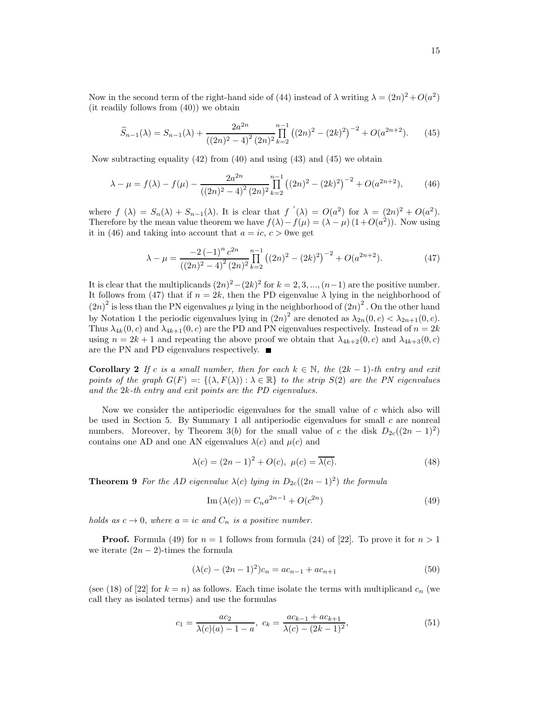Now in the second term of the right-hand side of (44) instead of  $\lambda$  writing  $\lambda = (2n)^2 + O(a^2)$ (it readily follows from (40)) we obtain

$$
\widetilde{S}_{n-1}(\lambda) = S_{n-1}(\lambda) + \frac{2a^{2n}}{\left((2n)^2 - 4\right)^2 (2n)^2} \prod_{k=2}^{n-1} \left((2n)^2 - (2k)^2\right)^{-2} + O(a^{2n+2}).\tag{45}
$$

Now subtracting equality  $(42)$  from  $(40)$  and using  $(43)$  and  $(45)$  we obtain

$$
\lambda - \mu = f(\lambda) - f(\mu) - \frac{2a^{2n}}{\left((2n)^2 - 4\right)^2 (2n)^2} \prod_{k=2}^{n-1} \left((2n)^2 - (2k)^2\right)^{-2} + O(a^{2n+2}),\tag{46}
$$

where  $f(\lambda) = S_n(\lambda) + S_{n-1}(\lambda)$ . It is clear that  $f'(\lambda) = O(a^2)$  for  $\lambda = (2n)^2 + O(a^2)$ . Therefore by the mean value theorem we have  $f(\lambda) - f(\mu) = (\lambda - \mu) (1 + O(a^2))$ . Now using it in (46) and taking into account that  $a = ic, c > 0$  we get

$$
\lambda - \mu = \frac{-2(-1)^n c^{2n}}{((2n)^2 - 4)^2 (2n)^2} \prod_{k=2}^{n-1} ((2n)^2 - (2k)^2)^{-2} + O(a^{2n+2}).
$$
 (47)

It is clear that the multiplicands  $(2n)^2 - (2k)^2$  for  $k = 2, 3, ..., (n-1)$  are the positive number. It follows from (47) that if  $n = 2k$ , then the PD eigenvalue  $\lambda$  lying in the neighborhood of  $(2n)^2$  is less than the PN eigenvalues  $\mu$  lying in the neighborhood of  $(2n)^2$ . On the other hand by Notation 1 the periodic eigenvalues lying in  $(2n)^2$  are denoted as  $\lambda_{2n}(0,c) < \lambda_{2n+1}(0,c)$ . Thus  $\lambda_{4k}(0, c)$  and  $\lambda_{4k+1}(0, c)$  are the PD and PN eigenvalues respectively. Instead of  $n = 2k$ using  $n = 2k + 1$  and repeating the above proof we obtain that  $\lambda_{4k+2}(0, c)$  and  $\lambda_{4k+3}(0, c)$ are the PN and PD eigenvalues respectively.

Corollary 2 If c is a small number, then for each  $k \in \mathbb{N}$ , the  $(2k-1)$ -th entry and exit points of the graph  $G(F) =: \{(\lambda, F(\lambda)) : \lambda \in \mathbb{R}\}\$  to the strip  $S(2)$  are the PN eigenvalues and the 2k-th entry and exit points are the PD eigenvalues.

Now we consider the antiperiodic eigenvalues for the small value of c which also will be used in Section 5. By Summary 1 all antiperiodic eigenvalues for small  $c$  are nonreal numbers. Moreover, by Theorem 3(b) for the small value of c the disk  $D_{2c}((2n-1)^2)$ contains one AD and one AN eigenvalues  $\lambda(c)$  and  $\mu(c)$  and

$$
\lambda(c) = (2n - 1)^2 + O(c), \ \mu(c) = \overline{\lambda(c)}.
$$
\n(48)

**Theorem 9** For the AD eigenvalue  $\lambda(c)$  lying in  $D_{2c}((2n-1)^2)$  the formula

Im 
$$
(\lambda(c)) = C_n a^{2n-1} + O(c^{2n})
$$
 (49)

holds as  $c \to 0$ , where  $a = ic$  and  $C_n$  is a positive number.

**Proof.** Formula (49) for  $n = 1$  follows from formula (24) of [22]. To prove it for  $n > 1$ we iterate  $(2n - 2)$ -times the formula

$$
(\lambda(c) - (2n - 1)^2)c_n = ac_{n-1} + ac_{n+1}
$$
\n(50)

(see (18) of [22] for  $k = n$ ) as follows. Each time isolate the terms with multiplicand  $c_n$  (we call they as isolated terms) and use the formulas

$$
c_1 = \frac{ac_2}{\lambda(c)(a) - 1 - a}, \ c_k = \frac{ac_{k-1} + ac_{k+1}}{\lambda(c) - (2k - 1)^2}, \tag{51}
$$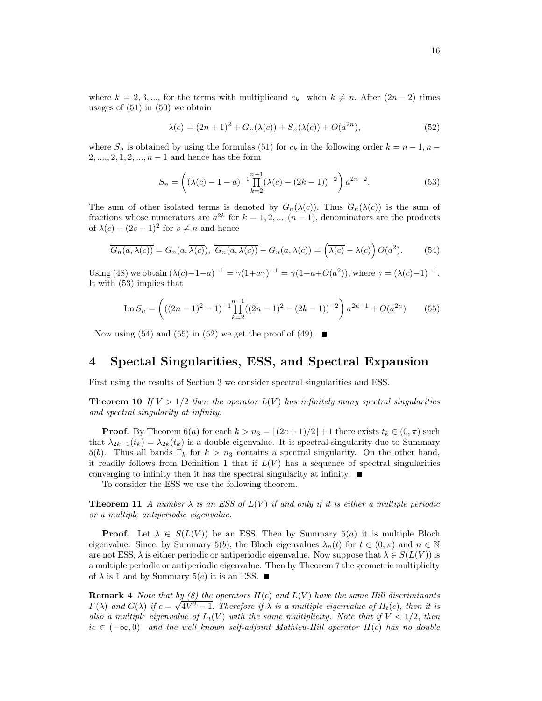where  $k = 2, 3, \dots$ , for the terms with multiplicand  $c_k$  when  $k \neq n$ . After  $(2n-2)$  times usages of  $(51)$  in  $(50)$  we obtain

$$
\lambda(c) = (2n+1)^2 + G_n(\lambda(c)) + S_n(\lambda(c)) + O(a^{2n}),
$$
\n(52)

where  $S_n$  is obtained by using the formulas (51) for  $c_k$  in the following order  $k = n - 1, n - 1$  $2, \ldots, 2, 1, 2, \ldots, n-1$  and hence has the form

$$
S_n = \left( (\lambda(c) - 1 - a)^{-1} \prod_{k=2}^{n-1} (\lambda(c) - (2k - 1))^{-2} \right) a^{2n-2}.
$$
 (53)

The sum of other isolated terms is denoted by  $G_n(\lambda(c))$ . Thus  $G_n(\lambda(c))$  is the sum of fractions whose numerators are  $a^{2k}$  for  $k = 1, 2, ..., (n - 1)$ , denominators are the products of  $\lambda(c) - (2s - 1)^2$  for  $s \neq n$  and hence

$$
\overline{G_n(a,\lambda(c))} = G_n(a,\overline{\lambda(c)}), \ \overline{G_n(a,\lambda(c))} - G_n(a,\lambda(c)) = \left(\overline{\lambda(c)} - \lambda(c)\right)O(a^2). \tag{54}
$$

Using (48) we obtain  $(\lambda(c)-1-a)^{-1} = \gamma(1+a\gamma)^{-1} = \gamma(1+a+O(a^2))$ , where  $\gamma = (\lambda(c)-1)^{-1}$ . It with (53) implies that

Im 
$$
S_n = \left( ((2n-1)^2 - 1)^{-1} \prod_{k=2}^{n-1} ((2n-1)^2 - (2k-1))^{-2} \right) a^{2n-1} + O(a^{2n})
$$
 (55)

Now using (54) and (55) in (52) we get the proof of (49).

# 4 Spectal Singularities, ESS, and Spectral Expansion

First using the results of Section 3 we consider spectral singularities and ESS.

**Theorem 10** If  $V > 1/2$  then the operator  $L(V)$  has infinitely many spectral singularities and spectral singularity at infinity.

**Proof.** By Theorem 6(a) for each  $k > n_3 = |(2c+1)/2| + 1$  there exists  $t_k \in (0, \pi)$  such that  $\lambda_{2k-1}(t_k) = \lambda_{2k}(t_k)$  is a double eigenvalue. It is spectral singularity due to Summary 5(b). Thus all bands  $\Gamma_k$  for  $k > n_3$  contains a spectral singularity. On the other hand, it readily follows from Definition 1 that if  $L(V)$  has a sequence of spectral singularities converging to infinity then it has the spectral singularity at infinity.  $\blacksquare$ 

To consider the ESS we use the following theorem.

**Theorem 11** A number  $\lambda$  is an ESS of  $L(V)$  if and only if it is either a multiple periodic or a multiple antiperiodic eigenvalue.

**Proof.** Let  $\lambda \in S(L(V))$  be an ESS. Then by Summary 5(a) it is multiple Bloch eigenvalue. Since, by Summary 5(b), the Bloch eigenvalues  $\lambda_n(t)$  for  $t \in (0, \pi)$  and  $n \in \mathbb{N}$ are not ESS,  $\lambda$  is either periodic or antiperiodic eigenvalue. Now suppose that  $\lambda \in S(L(V))$  is a multiple periodic or antiperiodic eigenvalue. Then by Theorem 7 the geometric multiplicity of  $\lambda$  is 1 and by Summary 5(c) it is an ESS.  $\blacksquare$ 

**Remark 4** Note that by (8) the operators  $H(c)$  and  $L(V)$  have the same Hill discriminants F( $\lambda$ ) and  $G(\lambda)$  if  $c = \sqrt{4V^2 - 1}$ . Therefore if  $\lambda$  is a multiple eigenvalue of  $H_t(c)$ , then it is also a multiple eigenvalue of  $L_t(V)$  with the same multiplicity. Note that if  $V < 1/2$ , then  $ic \in (-\infty, 0)$  and the well known self-adjoint Mathieu-Hill operator  $H(c)$  has no double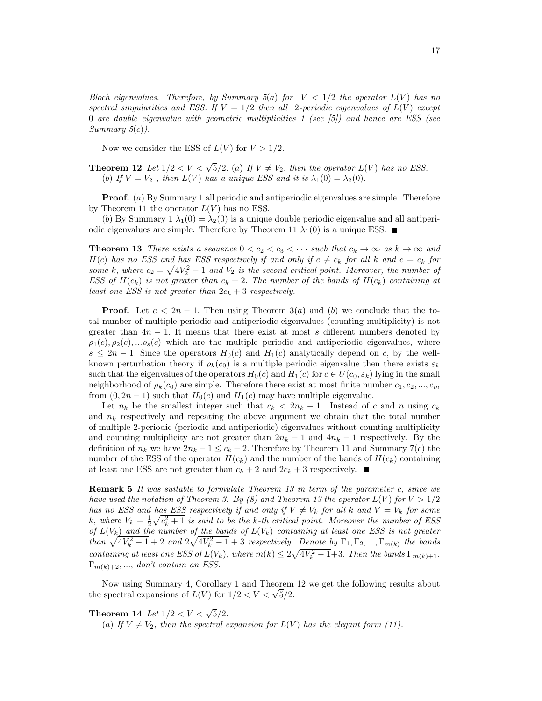Bloch eigenvalues. Therefore, by Summary  $5(a)$  for  $V < 1/2$  the operator  $L(V)$  has no spectral singularities and ESS. If  $V = 1/2$  then all 2-periodic eigenvalues of  $L(V)$  except 0 are double eigenvalue with geometric multiplicities 1 (see  $|5\rangle$ ) and hence are ESS (see  $Summary 5(c)$ .

Now we consider the ESS of  $L(V)$  for  $V > 1/2$ .

**Theorem 12** Let  $1/2 < V < \sqrt{5}/2$ . (a) If  $V \neq V_2$ , then the operator  $L(V)$  has no ESS. (b) If  $V = V_2$ , then  $L(V)$  has a unique ESS and it is  $\lambda_1(0) = \lambda_2(0)$ .

Proof. (a) By Summary 1 all periodic and antiperiodic eigenvalues are simple. Therefore by Theorem 11 the operator  $L(V)$  has no ESS.

(b) By Summary 1  $\lambda_1(0) = \lambda_2(0)$  is a unique double periodic eigenvalue and all antiperiodic eigenvalues are simple. Therefore by Theorem 11  $\lambda_1(0)$  is a unique ESS.

**Theorem 13** There exists a sequence  $0 < c_2 < c_3 < \cdots$  such that  $c_k \to \infty$  as  $k \to \infty$  and  $H(c)$  has no ESS and has ESS respectively if and only if  $c \neq c_k$  for all k and  $c = c_k$  for some k, where  $c_2 = \sqrt{4V_2^2 - 1}$  and  $V_2$  is the second critical point. Moreover, the number of ESS of  $H(c_k)$  is not greater than  $c_k + 2$ . The number of the bands of  $H(c_k)$  containing at least one ESS is not greater than  $2c_k + 3$  respectively.

**Proof.** Let  $c < 2n - 1$ . Then using Theorem 3(a) and (b) we conclude that the total number of multiple periodic and antiperiodic eigenvalues (counting multiplicity) is not greater than  $4n - 1$ . It means that there exist at most s different numbers denoted by  $\rho_1(c), \rho_2(c), \ldots, \rho_s(c)$  which are the multiple periodic and antiperiodic eigenvalues, where  $s \leq 2n-1$ . Since the operators  $H_0(c)$  and  $H_1(c)$  analytically depend on c, by the wellknown perturbation theory if  $\rho_k(c_0)$  is a multiple periodic eigenvalue then there exists  $\varepsilon_k$ such that the eigenvalues of the operators  $H_0(c)$  and  $H_1(c)$  for  $c \in U(c_0, \varepsilon_k)$  lying in the small neighborhood of  $\rho_k(c_0)$  are simple. Therefore there exist at most finite number  $c_1, c_2, ..., c_m$ from  $(0, 2n-1)$  such that  $H_0(c)$  and  $H_1(c)$  may have multiple eigenvalue.

Let  $n_k$  be the smallest integer such that  $c_k < 2n_k - 1$ . Instead of c and n using  $c_k$ and  $n_k$  respectively and repeating the above argument we obtain that the total number of multiple 2-periodic (periodic and antiperiodic) eigenvalues without counting multiplicity and counting multiplicity are not greater than  $2n_k - 1$  and  $4n_k - 1$  respectively. By the definition of  $n_k$  we have  $2n_k - 1 \leq c_k + 2$ . Therefore by Theorem 11 and Summary 7(c) the number of the ESS of the operator  $H(c_k)$  and the number of the bands of  $H(c_k)$  containing at least one ESS are not greater than  $c_k + 2$  and  $2c_k + 3$  respectively.

**Remark 5** It was suitable to formulate Theorem 13 in term of the parameter c, since we have used the notation of Theorem 3. By (8) and Theorem 13 the operator  $L(V)$  for  $V > 1/2$ has no ESS and has ESS respectively if and only if  $V \neq V_k$  for all k and  $V = V_k$  for some k, where  $V_k = \frac{1}{2}\sqrt{c_k^2 + 1}$  is said to be the k-th critical point. Moreover the number of ESS of  $L(V_k)$  and the number of the bands of  $L(V_k)$  containing at least one ESS is not greater than  $\sqrt{4V_k^2-1}+2$  and  $2\sqrt{4V_k^2-1}+3$  respectively. Denote by  $\Gamma_1, \Gamma_2, ..., \Gamma_{m(k)}$  the bands containing at least one ESS of  $L(V_k)$ , where  $m(k) \leq 2\sqrt{4V_k^2-1}+3$ . Then the bands  $\Gamma_{m(k)+1}$ ,  $\Gamma_{m(k)+2},...,\text{ don't contain an ESS}.$ 

Now using Summary 4, Corollary 1 and Theorem 12 we get the following results about the spectral expansions of  $L(V)$  for  $1/2 < V < \sqrt{5}/2$ .

**Theorem 14** Let  $1/2 < V < \sqrt{5}/2$ .

(a) If  $V \neq V_2$ , then the spectral expansion for  $L(V)$  has the elegant form (11).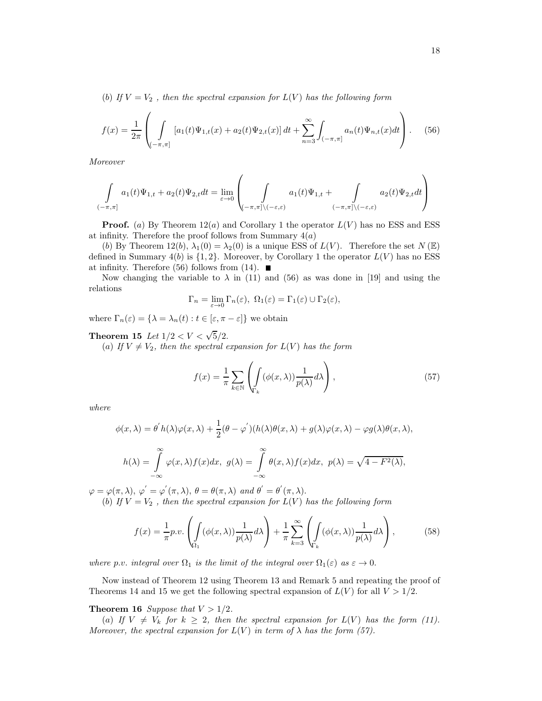(b) If  $V = V_2$ , then the spectral expansion for  $L(V)$  has the following form

$$
f(x) = \frac{1}{2\pi} \left( \int\limits_{(-\pi,\pi]} [a_1(t)\Psi_{1,t}(x) + a_2(t)\Psi_{2,t}(x)] dt + \sum_{n=3}^{\infty} \int_{(-\pi,\pi]} a_n(t)\Psi_{n,t}(x)dt \right).
$$
 (56)

Moreover

$$
\int\limits_{(-\pi,\pi]}a_1(t)\Psi_{1,t}+a_2(t)\Psi_{2,t}dt=\lim\limits_{\varepsilon\to 0}\left(\int\limits_{(-\pi,\pi]\backslash(-\varepsilon,\varepsilon)}a_1(t)\Psi_{1,t}+\int\limits_{(-\pi,\pi]\backslash(-\varepsilon,\varepsilon)}a_2(t)\Psi_{2,t}dt\right)
$$

**Proof.** (a) By Theorem  $12(a)$  and Corollary 1 the operator  $L(V)$  has no ESS and ESS at infinity. Therefore the proof follows from Summary  $4(a)$ 

(b) By Theorem 12(b),  $\lambda_1(0) = \lambda_2(0)$  is a unique ESS of  $L(V)$ . Therefore the set  $N(\mathbb{E})$ defined in Summary  $4(b)$  is  $\{1, 2\}$ . Moreover, by Corollary 1 the operator  $L(V)$  has no ESS at infinity. Therefore (56) follows from (14).  $\blacksquare$ 

Now changing the variable to  $\lambda$  in (11) and (56) as was done in [19] and using the relations

$$
\Gamma_n = \lim_{\varepsilon \to 0} \Gamma_n(\varepsilon), \ \Omega_1(\varepsilon) = \Gamma_1(\varepsilon) \cup \Gamma_2(\varepsilon),
$$

where  $\Gamma_n(\varepsilon) = {\lambda = \lambda_n(t) : t \in [\varepsilon, \pi - \varepsilon]}$  we obtain

# **Theorem 15** Let  $1/2 < V < \sqrt{5}/2$ .

(a) If  $V \neq V_2$ , then the spectral expansion for  $L(V)$  has the form

$$
f(x) = \frac{1}{\pi} \sum_{k \in \mathbb{N}} \left( \int_{\Gamma_k} (\phi(x, \lambda)) \frac{1}{p(\lambda)} d\lambda \right),\tag{57}
$$

where

$$
\phi(x,\lambda) = \theta' h(\lambda)\varphi(x,\lambda) + \frac{1}{2}(\theta - \varphi')(h(\lambda)\theta(x,\lambda) + g(\lambda)\varphi(x,\lambda) - \varphi g(\lambda)\theta(x,\lambda),
$$

$$
h(\lambda) = \int_{-\infty}^{\infty} \varphi(x,\lambda)f(x)dx, \ g(\lambda) = \int_{-\infty}^{\infty} \theta(x,\lambda)f(x)dx, \ p(\lambda) = \sqrt{4 - F^2(\lambda)},
$$

 $\varphi = \varphi(\pi, \lambda), \varphi' = \varphi'(\pi, \lambda), \theta = \theta(\pi, \lambda) \text{ and } \theta' = \theta'(\pi, \lambda).$ (b) If  $V = V_2$ , then the spectral expansion for  $L(V)$  has the following form

$$
f(x) = \frac{1}{\pi} p.v. \left( \int_{\Omega_1} (\phi(x, \lambda)) \frac{1}{p(\lambda)} d\lambda \right) + \frac{1}{\pi} \sum_{k=3}^{\infty} \left( \int_{\Gamma_k} (\phi(x, \lambda)) \frac{1}{p(\lambda)} d\lambda \right), \tag{58}
$$

where p.v. integral over  $\Omega_1$  is the limit of the integral over  $\Omega_1(\varepsilon)$  as  $\varepsilon \to 0$ .

Now instead of Theorem 12 using Theorem 13 and Remark 5 and repeating the proof of Theorems 14 and 15 we get the following spectral expansion of  $L(V)$  for all  $V > 1/2$ .

#### **Theorem 16** Suppose that  $V > 1/2$ .

(a) If  $V \neq V_k$  for  $k \geq 2$ , then the spectral expansion for  $L(V)$  has the form (11). Moreover, the spectral expansion for  $L(V)$  in term of  $\lambda$  has the form (57).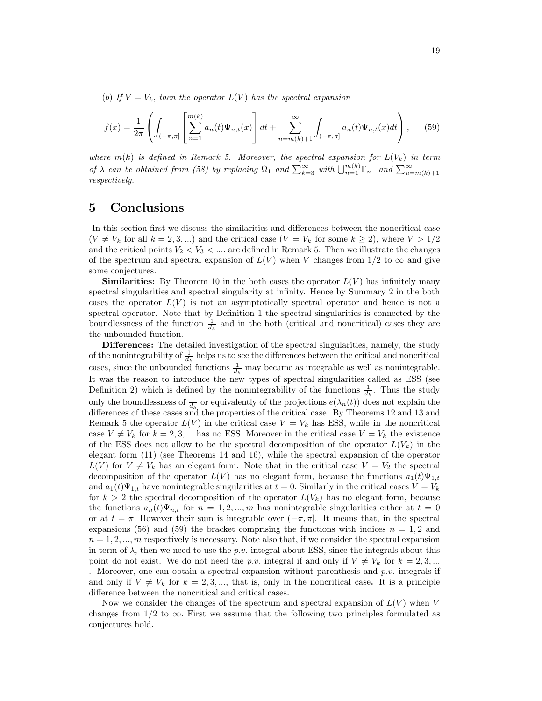(b) If  $V = V_k$ , then the operator  $L(V)$  has the spectral expansion

$$
f(x) = \frac{1}{2\pi} \left( \int_{(-\pi,\pi]} \left[ \sum_{n=1}^{m(k)} a_n(t) \Psi_{n,t}(x) \right] dt + \sum_{n=m(k)+1}^{\infty} \int_{(-\pi,\pi]} a_n(t) \Psi_{n,t}(x) dt \right), \quad (59)
$$

where  $m(k)$  is defined in Remark 5. Moreover, the spectral expansion for  $L(V_k)$  in term of  $\lambda$  can be obtained from (58) by replacing  $\Omega_1$  and  $\sum_{k=3}^{\infty}$  with  $\bigcup_{n=1}^{m(k)} \Gamma_n$  and  $\sum_{n=m(k)+1}^{\infty}$ respectively.

### 5 Conclusions

In this section first we discuss the similarities and differences between the noncritical case  $(V \neq V_k$  for all  $k = 2, 3, ...$ ) and the critical case  $(V = V_k$  for some  $k \geq 2$ ), where  $V > 1/2$ and the critical points  $V_2 < V_3 < \dots$  are defined in Remark 5. Then we illustrate the changes of the spectrum and spectral expansion of  $L(V)$  when V changes from 1/2 to  $\infty$  and give some conjectures.

**Similarities:** By Theorem 10 in the both cases the operator  $L(V)$  has infinitely many spectral singularities and spectral singularity at infinity. Hence by Summary 2 in the both cases the operator  $L(V)$  is not an asymptotically spectral operator and hence is not a spectral operator. Note that by Definition 1 the spectral singularities is connected by the boundlessness of the function  $\frac{1}{d_k}$  and in the both (critical and noncritical) cases they are the unbounded function.

Differences: The detailed investigation of the spectral singularities, namely, the study of the nonintegrability of  $\frac{1}{d_k}$  helps us to see the differences between the critical and noncritical cases, since the unbounded functions  $\frac{1}{d_k}$  may became as integrable as well as nonintegrable. It was the reason to introduce the new types of spectral singularities called as ESS (see Definition 2) which is defined by the nonintegrability of the functions  $\frac{1}{d_k}$ . Thus the study only the boundlessness of  $\frac{1}{d_k}$  or equivalently of the projections  $e(\lambda_n(t))$  does not explain the differences of these cases and the properties of the critical case. By Theorems 12 and 13 and Remark 5 the operator  $L(V)$  in the critical case  $V = V_k$  has ESS, while in the noncritical case  $V \neq V_k$  for  $k = 2, 3, ...$  has no ESS. Moreover in the critical case  $V = V_k$  the existence of the ESS does not allow to be the spectral decomposition of the operator  $L(V_k)$  in the elegant form (11) (see Theorems 14 and 16), while the spectral expansion of the operator  $L(V)$  for  $V \neq V_k$  has an elegant form. Note that in the critical case  $V = V_2$  the spectral decomposition of the operator  $L(V)$  has no elegant form, because the functions  $a_1(t)\Psi_{1,t}$ and  $a_1(t)\Psi_{1,t}$  have nonintegrable singularities at  $t = 0$ . Similarly in the critical cases  $V = V_k$ for  $k > 2$  the spectral decomposition of the operator  $L(V_k)$  has no elegant form, because the functions  $a_n(t)\Psi_{n,t}$  for  $n=1,2,...,m$  has nonintegrable singularities either at  $t=0$ or at  $t = \pi$ . However their sum is integrable over  $(-\pi, \pi]$ . It means that, in the spectral expansions (56) and (59) the bracket comprising the functions with indices  $n = 1, 2$  and  $n = 1, 2, \dots, m$  respectively is necessary. Note also that, if we consider the spectral expansion in term of  $\lambda$ , then we need to use the p.v. integral about ESS, since the integrals about this point do not exist. We do not need the p.v. integral if and only if  $V \neq V_k$  for  $k = 2, 3, ...$ . Moreover, one can obtain a spectral expansion without parenthesis and  $p.v.$  integrals if and only if  $V \neq V_k$  for  $k = 2, 3, \dots$ , that is, only in the noncritical case. It is a principle difference between the noncritical and critical cases.

Now we consider the changes of the spectrum and spectral expansion of  $L(V)$  when V changes from  $1/2$  to  $\infty$ . First we assume that the following two principles formulated as conjectures hold.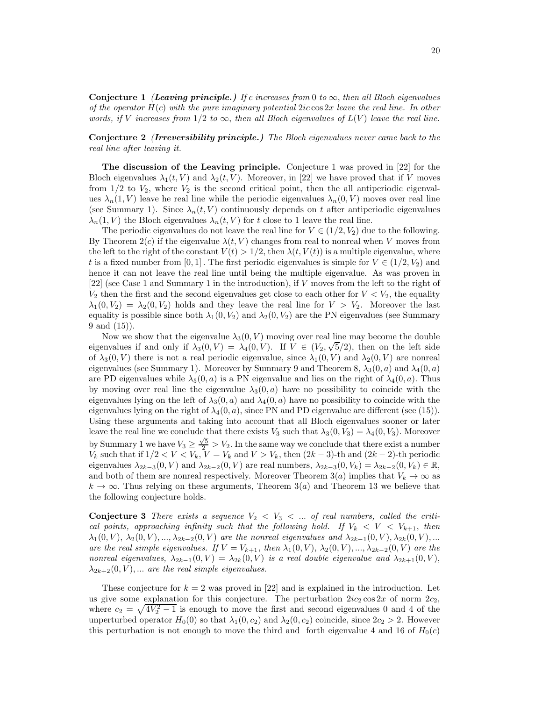Conjecture 1 *(Leaving principle.)* If c increases from 0 to  $\infty$ , then all Bloch eigenvalues of the operator  $H(c)$  with the pure imaginary potential  $2ic \cos 2x$  leave the real line. In other words, if V increases from  $1/2$  to  $\infty$ , then all Bloch eigenvalues of  $L(V)$  leave the real line.

Conjecture 2 (*Irreversibility principle.)* The Bloch eigenvalues never came back to the real line after leaving it.

The discussion of the Leaving principle. Conjecture 1 was proved in [22] for the Bloch eigenvalues  $\lambda_1(t, V)$  and  $\lambda_2(t, V)$ . Moreover, in [22] we have proved that if V moves from  $1/2$  to  $V_2$ , where  $V_2$  is the second critical point, then the all antiperiodic eigenvalues  $\lambda_n(1, V)$  leave he real line while the periodic eigenvalues  $\lambda_n(0, V)$  moves over real line (see Summary 1). Since  $\lambda_n(t, V)$  continuously depends on t after antiperiodic eigenvalues  $\lambda_n(1, V)$  the Bloch eigenvalues  $\lambda_n(t, V)$  for t close to 1 leave the real line.

The periodic eigenvalues do not leave the real line for  $V \in (1/2, V_2)$  due to the following. By Theorem  $2(c)$  if the eigenvalue  $\lambda(t, V)$  changes from real to nonreal when V moves from the left to the right of the constant  $V(t) > 1/2$ , then  $\lambda(t, V(t))$  is a multiple eigenvalue, where t is a fixed number from [0, 1]. The first periodic eigenvalues is simple for  $V \in (1/2, V_2)$  and hence it can not leave the real line until being the multiple eigenvalue. As was proven in [22] (see Case 1 and Summary 1 in the introduction), if V moves from the left to the right of  $V_2$  then the first and the second eigenvalues get close to each other for  $V < V_2$ , the equality  $\lambda_1(0, V_2) = \lambda_2(0, V_2)$  holds and they leave the real line for  $V > V_2$ . Moreover the last equality is possible since both  $\lambda_1(0, V_2)$  and  $\lambda_2(0, V_2)$  are the PN eigenvalues (see Summary 9 and (15)).

Now we show that the eigenvalue  $\lambda_3(0, V)$  moving over real line may become the double eigenvalues if and only if  $\lambda_3(0, V) = \lambda_4(0, V)$ . If  $V \in (V_2, \sqrt{5}/2)$ , then on the left side of  $\lambda_3(0, V)$  there is not a real periodic eigenvalue, since  $\lambda_1(0, V)$  and  $\lambda_2(0, V)$  are nonreal eigenvalues (see Summary 1). Moreover by Summary 9 and Theorem 8,  $\lambda_3(0, a)$  and  $\lambda_4(0, a)$ are PD eigenvalues while  $\lambda_5(0, a)$  is a PN eigenvalue and lies on the right of  $\lambda_4(0, a)$ . Thus by moving over real line the eigenvalue  $\lambda_3(0, a)$  have no possibility to coincide with the eigenvalues lying on the left of  $\lambda_3(0, a)$  and  $\lambda_4(0, a)$  have no possibility to coincide with the eigenvalues lying on the right of  $\lambda_4(0, a)$ , since PN and PD eigenvalue are different (see (15)). Using these arguments and taking into account that all Bloch eigenvalues sooner or later leave the real line we conclude that there exists  $V_3$  such that  $\lambda_3(0, V_3) = \lambda_4(0, V_3)$ . Moreover by Summary 1 we have  $V_3 \geq \frac{\sqrt{5}}{2} > V_2$ . In the same way we conclude that there exist a number  $V_k$  such that if  $1/2 < V < V_k$ ,  $V = V_k$  and  $V > V_k$ , then  $(2k-3)$ -th and  $(2k-2)$ -th periodic eigenvalues  $\lambda_{2k-3}(0, V)$  and  $\lambda_{2k-2}(0, V)$  are real numbers,  $\lambda_{2k-3}(0, V_k) = \lambda_{2k-2}(0, V_k) \in \mathbb{R}$ , and both of them are nonreal respectively. Moreover Theorem 3(a) implies that  $V_k \to \infty$  as  $k \to \infty$ . Thus relying on these arguments, Theorem 3(*a*) and Theorem 13 we believe that the following conjecture holds.

**Conjecture 3** There exists a sequence  $V_2 < V_3 < ...$  of real numbers, called the critical points, approaching infinity such that the following hold. If  $V_k < V < V_{k+1}$ , then  $\lambda_1(0, V)$ ,  $\lambda_2(0, V)$ , ...,  $\lambda_{2k-2}(0, V)$  are the nonreal eigenvalues and  $\lambda_{2k-1}(0, V)$ ,  $\lambda_{2k}(0, V)$ , ... are the real simple eigenvalues. If  $V = V_{k+1}$ , then  $\lambda_1(0, V)$ ,  $\lambda_2(0, V)$ , ...,  $\lambda_{2k-2}(0, V)$  are the nonreal eigenvalues,  $\lambda_{2k-1}(0, V) = \lambda_{2k}(0, V)$  is a real double eigenvalue and  $\lambda_{2k+1}(0, V)$ ,  $\lambda_{2k+2}(0, V), \ldots$  are the real simple eigenvalues.

These conjecture for  $k = 2$  was proved in [22] and is explained in the introduction. Let us give some explanation for this conjecture. The perturbation  $2ic_2 \cos 2x$  of norm  $2c_2$ , where  $c_2 = \sqrt{4V_2^2 - 1}$  is enough to move the first and second eigenvalues 0 and 4 of the unperturbed operator  $H_0(0)$  so that  $\lambda_1(0, c_2)$  and  $\lambda_2(0, c_2)$  coincide, since  $2c_2 > 2$ . However this perturbation is not enough to move the third and forth eigenvalue 4 and 16 of  $H_0(c)$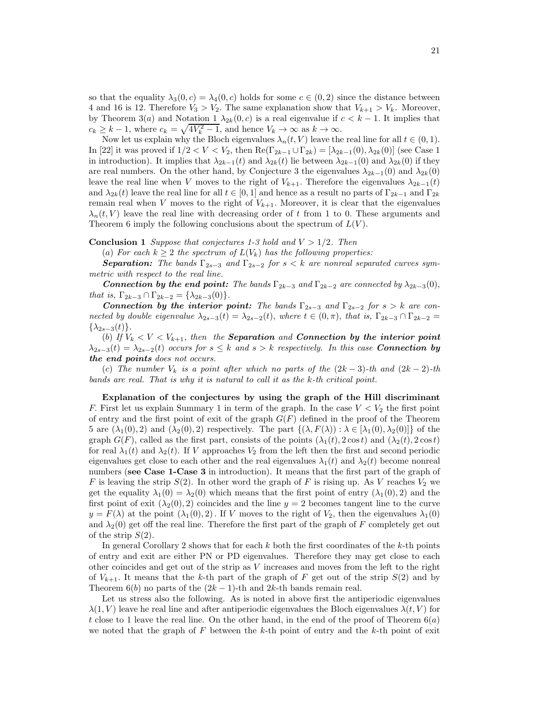so that the equality  $\lambda_3(0, c) = \lambda_4(0, c)$  holds for some  $c \in (0, 2)$  since the distance between 4 and 16 is 12. Therefore  $V_3 > V_2$ . The same explanation show that  $V_{k+1} > V_k$ . Moreover, by Theorem 3(a) and Notation 1  $\lambda_{2k}(0, c)$  is a real eigenvalue if  $c < k - 1$ . It implies that  $c_k \geq k-1$ , where  $c_k = \sqrt{4V_k^2 - 1}$ , and hence  $V_k \to \infty$  as  $k \to \infty$ .

Now let us explain why the Bloch eigenvalues  $\lambda_n(t, V)$  leave the real line for all  $t \in (0, 1)$ . In [22] it was proved if  $1/2 < V < V_2$ , then  $\text{Re}(\Gamma_{2k-1} \cup \Gamma_{2k}) = [\lambda_{2k-1}(0), \lambda_{2k}(0)]$  (see Case 1 in introduction). It implies that  $\lambda_{2k-1}(t)$  and  $\lambda_{2k}(t)$  lie between  $\lambda_{2k-1}(0)$  and  $\lambda_{2k}(0)$  if they are real numbers. On the other hand, by Conjecture 3 the eigenvalues  $\lambda_{2k-1}(0)$  and  $\lambda_{2k}(0)$ leave the real line when V moves to the right of  $V_{k+1}$ . Therefore the eigenvalues  $\lambda_{2k-1}(t)$ and  $\lambda_{2k}(t)$  leave the real line for all  $t \in [0,1]$  and hence as a result no parts of  $\Gamma_{2k-1}$  and  $\Gamma_{2k}$ remain real when V moves to the right of  $V_{k+1}$ . Moreover, it is clear that the eigenvalues  $\lambda_n(t, V)$  leave the real line with decreasing order of t from 1 to 0. These arguments and Theorem 6 imply the following conclusions about the spectrum of  $L(V)$ .

**Conclusion 1** Suppose that conjectures 1-3 hold and  $V > 1/2$ . Then

(a) For each  $k \geq 2$  the spectrum of  $L(V_k)$  has the following properties:

**Separation:** The bands  $\Gamma_{2s-3}$  and  $\Gamma_{2s-2}$  for  $s < k$  are nonreal separated curves symmetric with respect to the real line.

**Connection by the end point:** The bands  $\Gamma_{2k-3}$  and  $\Gamma_{2k-2}$  are connected by  $\lambda_{2k-3}(0)$ , that is,  $\Gamma_{2k-3} \cap \Gamma_{2k-2} = \{\lambda_{2k-3}(0)\}.$ 

*Connection by the interior point:* The bands  $\Gamma_{2s-3}$  and  $\Gamma_{2s-2}$  for  $s > k$  are connected by double eigenvalue  $\lambda_{2s-3}(t) = \lambda_{2s-2}(t)$ , where  $t \in (0, \pi)$ , that is,  $\Gamma_{2k-3} \cap \Gamma_{2k-2} =$  $\{\lambda_{2s-3}(t)\}.$ 

(b) If  $V_k < V < V_{k+1}$ , then the **Separation** and **Connection by the interior point**  $\lambda_{2s-3}(t) = \lambda_{2s-2}(t)$  occurs for  $s \leq k$  and  $s > k$  respectively. In this case **Connection by** *the end points* does not occurs.

(c) The number  $V_k$  is a point after which no parts of the  $(2k-3)$ -th and  $(2k-2)$ -th bands are real. That is why it is natural to call it as the k-th critical point.

Explanation of the conjectures by using the graph of the Hill discriminant F. First let us explain Summary 1 in term of the graph. In the case  $V < V_2$  the first point of entry and the first point of exit of the graph  $G(F)$  defined in the proof of the Theorem 5 are  $(\lambda_1(0), 2)$  and  $(\lambda_2(0), 2)$  respectively. The part  $\{(\lambda, F(\lambda)) : \lambda \in [\lambda_1(0), \lambda_2(0)]\}$  of the graph  $G(F)$ , called as the first part, consists of the points  $(\lambda_1(t), 2 \cos t)$  and  $(\lambda_2(t), 2 \cos t)$ for real  $\lambda_1(t)$  and  $\lambda_2(t)$ . If V approaches  $V_2$  from the left then the first and second periodic eigenvalues get close to each other and the real eigenvalues  $\lambda_1(t)$  and  $\lambda_2(t)$  become nonreal numbers (see Case 1-Case 3 in introduction). It means that the first part of the graph of F is leaving the strip  $S(2)$ . In other word the graph of F is rising up. As V reaches  $V_2$  we get the equality  $\lambda_1(0) = \lambda_2(0)$  which means that the first point of entry  $(\lambda_1(0), 2)$  and the first point of exit  $(\lambda_2(0), 2)$  coincides and the line  $y = 2$  becomes tangent line to the curve  $y = F(\lambda)$  at the point  $(\lambda_1(0), 2)$ . If V moves to the right of  $V_2$ , then the eigenvalues  $\lambda_1(0)$ and  $\lambda_2(0)$  get off the real line. Therefore the first part of the graph of F completely get out of the strip  $S(2)$ .

In general Corollary 2 shows that for each  $k$  both the first coordinates of the  $k$ -th points of entry and exit are either PN or PD eigenvalues. Therefore they may get close to each other coincides and get out of the strip as V increases and moves from the left to the right of  $V_{k+1}$ . It means that the k-th part of the graph of F get out of the strip  $S(2)$  and by Theorem 6(b) no parts of the  $(2k-1)$ -th and  $2k$ -th bands remain real.

Let us stress also the following. As is noted in above first the antiperiodic eigenvalues  $\lambda(1, V)$  leave he real line and after antiperiodic eigenvalues the Bloch eigenvalues  $\lambda(t, V)$  for t close to 1 leave the real line. On the other hand, in the end of the proof of Theorem  $6(a)$ we noted that the graph of  $F$  between the k-th point of entry and the k-th point of exit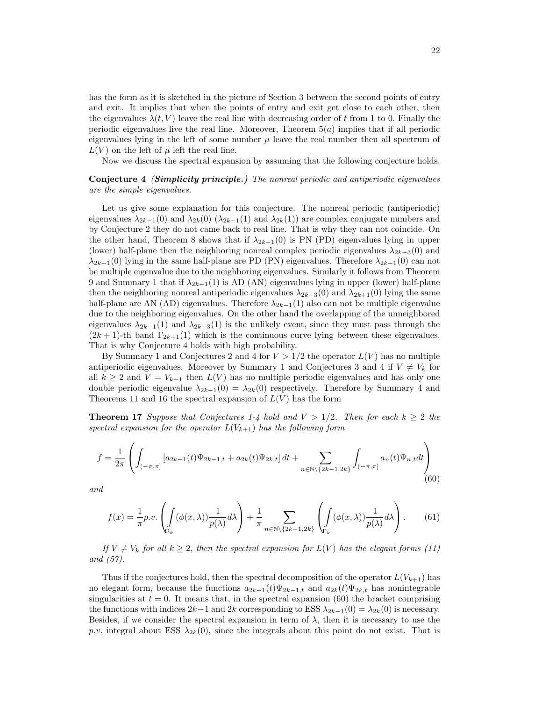has the form as it is sketched in the picture of Section 3 between the second points of entry and exit. It implies that when the points of entry and exit get close to each other, then the eigenvalues  $\lambda(t, V)$  leave the real line with decreasing order of t from 1 to 0. Finally the periodic eigenvalues live the real line. Moreover, Theorem  $5(a)$  implies that if all periodic eigenvalues lying in the left of some number  $\mu$  leave the real number then all spectrum of  $L(V)$  on the left of  $\mu$  left the real line.

Now we discuss the spectral expansion by assuming that the following conjecture holds.

Conjecture 4 (*Simplicity principle.)* The nonreal periodic and antiperiodic eigenvalues are the simple eigenvalues.

Let us give some explanation for this conjecture. The nonreal periodic (antiperiodic) eigenvalues  $\lambda_{2k-1}(0)$  and  $\lambda_{2k}(0)$  ( $\lambda_{2k-1}(1)$  and  $\lambda_{2k}(1)$ ) are complex conjugate numbers and by Conjecture 2 they do not came back to real line. That is why they can not coincide. On the other hand, Theorem 8 shows that if  $\lambda_{2k-1}(0)$  is PN (PD) eigenvalues lying in upper (lower) half-plane then the neighboring nonreal complex periodic eigenvalues  $\lambda_{2k-3}(0)$  and  $\lambda_{2k+1}(0)$  lying in the same half-plane are PD (PN) eigenvalues. Therefore  $\lambda_{2k-1}(0)$  can not be multiple eigenvalue due to the neighboring eigenvalues. Similarly it follows from Theorem 9 and Summary 1 that if  $\lambda_{2k-1}(1)$  is AD (AN) eigenvalues lying in upper (lower) half-plane then the neighboring nonreal antiperiodic eigenvalues  $\lambda_{2k-3}(0)$  and  $\lambda_{2k+1}(0)$  lying the same half-plane are AN (AD) eigenvalues. Therefore  $\lambda_{2k-1}(1)$  also can not be multiple eigenvalue due to the neighboring eigenvalues. On the other hand the overlapping of the unneighbored eigenvalues  $\lambda_{2k-1}(1)$  and  $\lambda_{2k+3}(1)$  is the unlikely event, since they must pass through the  $(2k+1)$ -th band  $\Gamma_{2k+1}(1)$  which is the continuous curve lying between these eigenvalues. That is why Conjecture 4 holds with high probability.

By Summary 1 and Conjectures 2 and 4 for  $V > 1/2$  the operator  $L(V)$  has no multiple antiperiodic eigenvalues. Moreover by Summary 1 and Conjectures 3 and 4 if  $V \neq V_k$  for all  $k \geq 2$  and  $V = V_{k+1}$  then  $L(V)$  has no multiple periodic eigenvalues and has only one double periodic eigenvalue  $\lambda_{2k-1}(0) = \lambda_{2k}(0)$  respectively. Therefore by Summary 4 and Theorems 11 and 16 the spectral expansion of  $L(V)$  has the form

**Theorem 17** Suppose that Conjectures 1-4 hold and  $V > 1/2$ . Then for each  $k \geq 2$  the spectral expansion for the operator  $L(V_{k+1})$  has the following form

$$
f = \frac{1}{2\pi} \left( \int_{(-\pi,\pi]} \left[ a_{2k-1}(t) \Psi_{2k-1,t} + a_{2k}(t) \Psi_{2k,t} \right] dt + \sum_{n \in \mathbb{N} \backslash \{2k-1,2k\}} \int_{(-\pi,\pi]} a_n(t) \Psi_{n,t} dt \right) \tag{60}
$$

and

$$
f(x) = \frac{1}{\pi} p.v. \left( \int_{\Omega_k} (\phi(x, \lambda)) \frac{1}{p(\lambda)} d\lambda \right) + \frac{1}{\pi} \sum_{n \in \mathbb{N} \setminus \{2k - 1, 2k\}} \left( \int_{\Gamma_k} (\phi(x, \lambda)) \frac{1}{p(\lambda)} d\lambda \right). \tag{61}
$$

If  $V \neq V_k$  for all  $k \geq 2$ , then the spectral expansion for  $L(V)$  has the elegant forms (11) and (57).

Thus if the conjectures hold, then the spectral decomposition of the operator  $L(V_{k+1})$  has no elegant form, because the functions  $a_{2k-1}(t)\Psi_{2k-1,t}$  and  $a_{2k}(t)\Psi_{2k,t}$  has nonintegrable singularities at  $t = 0$ . It means that, in the spectral expansion (60) the bracket comprising the functions with indices  $2k-1$  and  $2k$  corresponding to ESS  $\lambda_{2k-1}(0) = \lambda_{2k}(0)$  is necessary. Besides, if we consider the spectral expansion in term of  $\lambda$ , then it is necessary to use the p.v. integral about ESS  $\lambda_{2k}(0)$ , since the integrals about this point do not exist. That is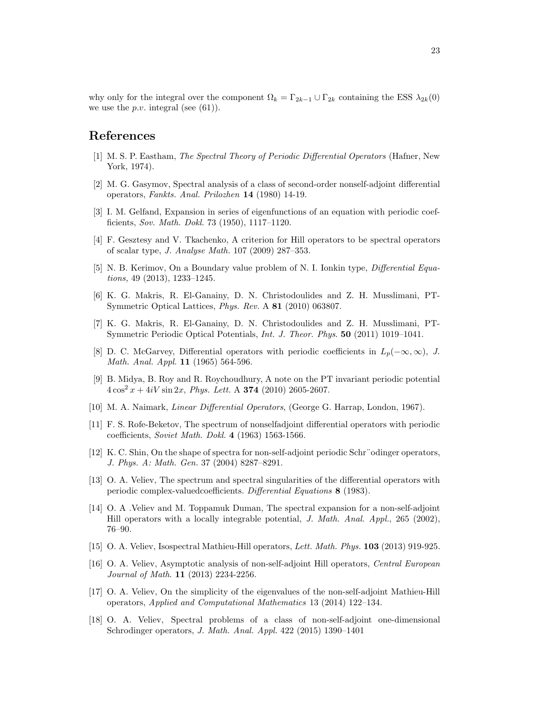why only for the integral over the component  $\Omega_k = \Gamma_{2k-1} \cup \Gamma_{2k}$  containing the ESS  $\lambda_{2k}(0)$ we use the *p.v.* integral (see  $(61)$ ).

# References

- [1] M. S. P. Eastham, The Spectral Theory of Periodic Differential Operators (Hafner, New York, 1974).
- [2] M. G. Gasymov, Spectral analysis of a class of second-order nonself-adjoint differential operators, Fankts. Anal. Prilozhen 14 (1980) 14-19.
- [3] I. M. Gelfand, Expansion in series of eigenfunctions of an equation with periodic coefficients, Sov. Math. Dokl. 73 (1950), 1117–1120.
- [4] F. Gesztesy and V. Tkachenko, A criterion for Hill operators to be spectral operators of scalar type, J. Analyse Math. 107 (2009) 287–353.
- [5] N. B. Kerimov, On a Boundary value problem of N. I. Ionkin type, Differential Equations, 49 (2013), 1233–1245.
- [6] K. G. Makris, R. El-Ganainy, D. N. Christodoulides and Z. H. Musslimani, PT-Symmetric Optical Lattices, Phys. Rev. A 81 (2010) 063807.
- [7] K. G. Makris, R. El-Ganainy, D. N. Christodoulides and Z. H. Musslimani, PT-Symmetric Periodic Optical Potentials, Int. J. Theor. Phys. 50 (2011) 1019–1041.
- [8] D. C. McGarvey, Differential operators with periodic coefficients in  $L_p(-\infty, \infty)$ , J. Math. Anal. Appl. 11 (1965) 564-596.
- [9] B. Midya, B. Roy and R. Roychoudhury, A note on the PT invariant periodic potential  $4\cos^2 x + 4iV \sin 2x$ , *Phys. Lett.* A **374** (2010) 2605-2607.
- [10] M. A. Naimark, Linear Differential Operators, (George G. Harrap, London, 1967).
- [11] F. S. Rofe-Beketov, The spectrum of nonselfadjoint differential operators with periodic coefficients, Soviet Math. Dokl. 4 (1963) 1563-1566.
- [12] K. C. Shin, On the shape of spectra for non-self-adjoint periodic Schr¨odinger operators, J. Phys. A: Math. Gen. 37 (2004) 8287–8291.
- [13] O. A. Veliev, The spectrum and spectral singularities of the differential operators with periodic complex-valuedcoefficients. Differential Equations 8 (1983).
- [14] O. A .Veliev and M. Toppamuk Duman, The spectral expansion for a non-self-adjoint Hill operators with a locally integrable potential, J. Math. Anal. Appl., 265 (2002), 76–90.
- [15] O. A. Veliev, Isospectral Mathieu-Hill operators, Lett. Math. Phys. 103 (2013) 919-925.
- [16] O. A. Veliev, Asymptotic analysis of non-self-adjoint Hill operators, Central European Journal of Math. 11 (2013) 2234-2256.
- [17] O. A. Veliev, On the simplicity of the eigenvalues of the non-self-adjoint Mathieu-Hill operators, Applied and Computational Mathematics 13 (2014) 122–134.
- [18] O. A. Veliev, Spectral problems of a class of non-self-adjoint one-dimensional Schrodinger operators, J. Math. Anal. Appl. 422 (2015) 1390–1401